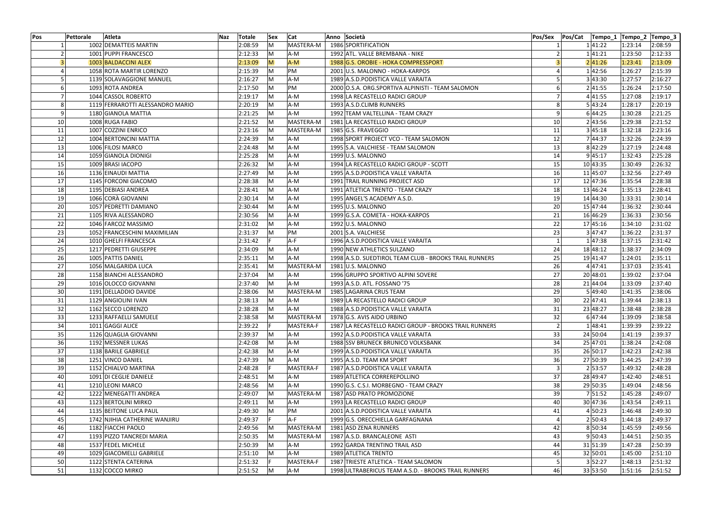| 2:08:59<br>MASTERA-M<br>1002 DEMATTEIS MARTIN<br>M<br>1986 SPORTIFICATION<br>141:22<br>1:23:14<br>2:08:59<br>M<br>1001 PUPPI FRANCESCO<br>2:12:33<br>A-M<br>1992 ATL. VALLE BREMBANA - NIKE<br>1 41:21<br>1:23:50<br>2:12:33<br>1003 BALDACCINI ALEX<br>2:13:09<br>M<br>$A-M$<br>1988 G.S. OROBIE - HOKA COMPRESSPORT<br>2 41:26<br>1:23:41<br>2:13:09<br>PM<br>2:15:39<br>M<br>1 42:56<br>1:26:27<br>2:15:39<br>1058 ROTA MARTIR LORENZO<br>2001 U.S. MALONNO - HOKA-KARPOS<br>3 43:30<br>2:16:27<br>lM.<br>A-M<br>1989 A.S.D. PODISTICA VALLE VARAITA<br>1:27:57<br>2:16:27<br>1139 SOLAVAGGIONE MANUEL<br>2:17:50<br>2:17:50<br>lM.<br>PM<br>2 41:55<br>1:26:24<br>1093 ROTA ANDREA<br>2000 O.S.A. ORG.SPORTIVA ALPINISTI - TEAM SALOMON<br>2:19:17<br>$\mathsf{M}$<br>A-M<br>4 41:55<br>1:27:08<br>2:19:17<br>1044 CASSOL ROBERTO<br>1998 LA RECASTELLO RADICI GROUP<br>5 43:24<br>1119 FERRAROTTI ALESSANDRO MARIO<br>2:20:19<br>A-M<br>1:28:17<br>2:20:19<br>lM.<br>1993 A.S.D.CLIMB RUNNERS<br>2:21:25<br>A-M<br>1992 TEAM VALTELLINA - TEAM CRAZY<br>6 44:25<br>1:30:28<br>2:21:25<br>1180 GIANOLA MATTIA<br>lM.<br>2:21:52<br>MASTERA-M<br>10<br>2 43:56<br>1:29:38<br>2:21:52<br>10<br>1008 RUGA FABIO<br>IM.<br>1981 LA RECASTELLO RADICI GROUP<br>2:23:16<br>3 45:18<br>1007 COZZINI ENRICO<br>lM.<br>MASTERA-M<br>1:32:18<br>2:23:16<br>11<br>1985 G.S. FRAVEGGIO<br>11<br>12<br>M<br>2:24:39<br>1004 BERTONCINI MATTIA<br>2:24:39<br>A-M<br>1998 SPORT PROJECT VCO - TEAM SALOMON<br>12<br>744:37<br>1:32:26<br>13<br>2:24:48<br>A-M<br>8 42:29<br>2:24:48<br>1006 FILOSI MARCO<br>IM.<br>1995 S.A. VALCHIESE - TEAM SALOMON<br>13<br>1:27:19<br>2:25:28<br>9 45:17<br>2:25:28<br>14<br>1059 GIANOLA DIONIGI<br>M<br>A-M<br>1999 U.S. MALONNO<br>14<br>1:32:43<br>2:26:32<br>15<br>1009 BRASI IACOPO<br>IM.<br>A-M<br>1994 LA RECASTELLO RADICI GROUP - SCOTT<br>10 43:35<br>1:30:49<br>2:26:32<br>15<br>2:27:49<br>A-M<br>1:32:56<br>2:27:49<br>16<br>1136 EINAUDI MATTIA<br>IM.<br>1995 A.S.D. PODISTICA VALLE VARAITA<br><b>16</b><br>11 45:07<br>17<br>2:28:38<br>12 47:36<br>1:35:54<br>2:28:38<br>1145 FORCONI GIACOMO<br>M<br>A-M<br>1991 TRAIL RUNNING PROJECT ASD<br>17<br>18<br>1195 DEBIASI ANDREA<br>2:28:41<br>IM.<br>A-M<br>1991 ATLETICA TRENTO - TEAM CRAZY<br>13 46:24<br>1:35:13<br>2:28:41<br>18<br>1066 CORÀ GIOVANNI<br>A-M<br>19<br>2:30:14<br>lM.<br>1995 ANGEL'S ACADEMY A.S.D.<br>19<br>14 44:30<br>1:33:31<br>2:30:14<br>20<br>2:30:44<br>20<br>15 47:44<br>1:36:32<br>2:30:44<br>1057 PEDRETTI DAMIANO<br>M<br>A-M<br>1995 U.S. MALONNO<br>2:30:56<br>M<br>1:36:33<br>21<br>1105 RIVA ALESSANDRO<br>A-M<br>1999 G.S.A. COMETA - HOKA-KARPOS<br>21<br>16 46:29<br>2:30:56<br>22<br>A-M<br>22<br>2:31:02<br>1046 FARCOZ MASSIMO<br>2:31:02<br>IM.<br>1992 U.S. MALONNO<br>17 45:16<br>1:34:10<br>23<br>2:31:37<br>lM.<br>PM<br>23<br>3 47:47<br>1:36:22<br>2:31:37<br>1052 FRANCESCHINI MAXIMILIAN<br>2001 S.A. VALCHIESE<br>A-F<br>24<br>1010 GHELFI FRANCESCA<br>2:31:42<br>1996 A.S.D. PODISTICA VALLE VARAITA<br>147:38<br>1:37:15<br>2:31:42<br>25<br>2:34:09<br>A-M<br>24<br>2:34:09<br>1217 PEDRETTI GIUSEPPE<br>lM.<br>1990 NEW ATHLETICS SULZANO<br>18 48:12<br>1:38:37<br>26<br>1005 PATTIS DANIEL<br>2:35:11<br>A-M<br>1998 A.S.D. SUEDTIROL TEAM CLUB - BROOKS TRAIL RUNNERS<br>25<br>19 41:47<br>2:35:11<br>IM.<br>1:24:01<br>26<br>4 47:41<br>27<br>1056 MALGARIDA LUCA<br>2:35:41<br>$\mathsf{M}$<br>MASTERA-M<br>1981 U.S. MALONNO<br>1:37:03<br>2:35:41<br>28<br>lM.<br>27<br>1158 BIANCHI ALESSANDRO<br>2:37:04<br>A-M<br>1996 GRUPPO SPORTIVO ALPINI SOVERE<br>20 48:01<br>1:39:02<br>2:37:04<br>29<br>1016 OLOCCO GIOVANNI<br>2:37:40<br>A-M<br>28<br>21 44:04<br>2:37:40<br>IM.<br>1993 A.S.D. ATL. FOSSANO '75<br>1:33:09<br>2:38:06<br>5 49:40<br>30<br>1191 DELLADDIO DAVIDE<br>IM.<br>MASTERA-M<br>1985 LAGARINA CRUS TEAM<br>29<br>1:41:35<br>2:38:06<br>31<br>30 <sup>1</sup><br>22 47:41<br>1:39:44<br> 2:38:13<br>1129 ANGIOLINI IVAN<br> 2:38:13<br>IM.<br>A-M<br>1989 LA RECASTELLO RADICI GROUP<br>32<br>1162 SECCO LORENZO<br>2:38:28<br>A-M<br>31<br>23 48:27<br>2:38:28<br>IM.<br>1988 A.S.D. PODISTICA VALLE VARAITA<br>1:38:48<br>2:38:58<br>6 47:44<br>33<br>1233 RAFFAELLI SAMUELE<br>M<br>MASTERA-M<br>1978 G.S. AVIS AIDO URBINO<br>32<br>1:39:09<br>2:38:58<br>34<br>1011 GAGGI ALICE<br>2:39:22<br>MASTERA-F<br>1987 LA RECASTELLO RADICI GROUP - BROOKS TRAIL RUNNERS<br>1 48:41<br>2:39:22<br>1:39:39<br>35<br>33<br>24 50:04<br>1126 QUAGLIA GIOVANNI<br>2:39:37<br>IM.<br>1992 A.S.D. PODISTICA VALLE VARAITA<br>2:39:37<br>A-M<br>1:41:19<br>34<br>36<br>1192 MESSNER LUKAS<br>2:42:08<br>M<br>A-M<br>1988 SSV BRUNECK BRUNICO VOLKSBANK<br>25 47:01<br>1:38:24<br>2:42:08<br>37<br>1138 BARILE GABRIELE<br>2:42:38<br>M<br>A-M<br>35<br>26 50:17<br>2:42:38<br>1999 A.S.D. PODISTICA VALLE VARAITA<br>1:42:23<br>38<br>36<br>27 50:39<br>1251 VINCO DANIEL<br>2:47:39<br>A-M<br>1:44:25<br>2:47:39<br>M<br>1995 A.S.D. TEAM KM SPORT<br>2:48:28<br>2 53:57<br>39<br>1152 CHIALVO MARTINA<br>MASTERA-F<br>1987 A.S.D. PODISTICA VALLE VARAITA<br>1:49:32<br>2:48:28<br>37<br>40<br>2:48:51<br>M<br>A-M<br>28 49:47<br>2:48:51<br>1091 DI CEGLIE DANIELE<br>1989 ATLETICA CORREREPOLLINO<br>1:42:40<br>38<br>29 50:35<br>1210 LEONI MARCO<br>2:48:56<br>A-M<br>1990 G.S. C.S.I. MORBEGNO - TEAM CRAZY<br>1:49:04<br>2:48:56<br>41<br>lM.<br>2:49:07<br>$\mathsf{M}$<br>MASTERA-M<br>39<br>751:52<br>1:45:28<br>2:49:07<br>42<br>1222 MENEGATTI ANDREA<br>1987 ASD PRATO PROMOZIONE<br>43<br>1123 BERTOLINI MIRKO<br>2:49:11<br>IM.<br>30 47:36<br>1:43:54<br>A-M<br>1993 LA RECASTELLO RADICI GROUP<br>40<br>2:49:11<br>PM<br>4 50:23<br>44<br>1135 BEITONE LUCA PAUL<br>2:49:30<br>M<br>2001 A.S.D. PODISTICA VALLE VARAITA<br>2:49:30<br>41<br>1:46:48<br>$A-F$<br>45<br>1742 NJIHIA CATHERINE WANJIRU<br>2:49:37<br>2 50:43<br>1:44:18<br>2:49:37<br>1999 G.S. ORECCHIELLA GARFAGNANA<br>46<br>1182 FIACCHI PAOLO<br>2:49:56<br>lM.<br>MASTERA-M<br>1981 ASD ZENA RUNNERS<br>42<br>8 50:34<br>1:45:59<br>2:49:56<br>MASTERA-M<br>9 50:43<br>47<br>1193 PIZZO TANCREDI MARIA<br>2:50:35<br>lM.<br>1987 A.S.D. BRANCALEONE ASTI<br>43<br>2:50:35<br>1:44:51<br>48<br>1537 FEDEL MICHELE<br>2:50:39<br>M<br>A-M<br>44<br>31 51:39<br>1:47:28<br>2:50:39<br>1992 GARDA TRENTINO TRAIL ASD<br>49<br>1029 GIACOMELLI GABRIELE<br>2:51:10<br>IM.<br>A-M<br>1989 ATLETICA TRENTO<br>32 50:01<br>1:45:00<br>45<br>2:51:10<br>3 52:27<br>50<br>1122 STENTA CATERINA<br>2:51:32<br>MASTERA-F<br>1987 TRIESTE ATLETICA - TEAM SALOMON<br>2:51:32<br>1:48:13<br>46<br>51<br>1132 COCCO MIRKO<br> 2:51:52<br>$\mathsf{M}$<br>A-M<br>1998 ULTRABERICUS TEAM A.S.D. - BROOKS TRAIL RUNNERS<br>33 53:50<br>1:51:16<br> 2:51:52 | Pos | Pettorale | Atleta | Naz | <b>Totale</b> | <b>Sex</b> | Cat | Anno Società | Pos/Sex | Pos/Cat | Tempo_1  Tempo_2  Tempo_3 |  |
|--------------------------------------------------------------------------------------------------------------------------------------------------------------------------------------------------------------------------------------------------------------------------------------------------------------------------------------------------------------------------------------------------------------------------------------------------------------------------------------------------------------------------------------------------------------------------------------------------------------------------------------------------------------------------------------------------------------------------------------------------------------------------------------------------------------------------------------------------------------------------------------------------------------------------------------------------------------------------------------------------------------------------------------------------------------------------------------------------------------------------------------------------------------------------------------------------------------------------------------------------------------------------------------------------------------------------------------------------------------------------------------------------------------------------------------------------------------------------------------------------------------------------------------------------------------------------------------------------------------------------------------------------------------------------------------------------------------------------------------------------------------------------------------------------------------------------------------------------------------------------------------------------------------------------------------------------------------------------------------------------------------------------------------------------------------------------------------------------------------------------------------------------------------------------------------------------------------------------------------------------------------------------------------------------------------------------------------------------------------------------------------------------------------------------------------------------------------------------------------------------------------------------------------------------------------------------------------------------------------------------------------------------------------------------------------------------------------------------------------------------------------------------------------------------------------------------------------------------------------------------------------------------------------------------------------------------------------------------------------------------------------------------------------------------------------------------------------------------------------------------------------------------------------------------------------------------------------------------------------------------------------------------------------------------------------------------------------------------------------------------------------------------------------------------------------------------------------------------------------------------------------------------------------------------------------------------------------------------------------------------------------------------------------------------------------------------------------------------------------------------------------------------------------------------------------------------------------------------------------------------------------------------------------------------------------------------------------------------------------------------------------------------------------------------------------------------------------------------------------------------------------------------------------------------------------------------------------------------------------------------------------------------------------------------------------------------------------------------------------------------------------------------------------------------------------------------------------------------------------------------------------------------------------------------------------------------------------------------------------------------------------------------------------------------------------------------------------------------------------------------------------------------------------------------------------------------------------------------------------------------------------------------------------------------------------------------------------------------------------------------------------------------------------------------------------------------------------------------------------------------------------------------------------------------------------------------------------------------------------------------------------------------------------------------------------------------------------------------------------------------------------------------------------------------------------------------------------------------------------------------------------------------------------------------------------------------------------------------------------------------------------------------------------------------------------------------------------------------------------------------------------------------------------------------------------------------------------------------------------------------------------------------------------------------------------------------------------------------------------------------------------------------------------------------------------------------------------------------------------------------------------------------------------------------------------------------------------------------------------------------------------------------------------------------------------------------------------------------------------------------------------------------------------------------------------------------------------------------------------------------------------------------------------------------------------------------------------------------------------------------------------------------------------------------------------------------------------------------------------------------------------------------------------------------------|-----|-----------|--------|-----|---------------|------------|-----|--------------|---------|---------|---------------------------|--|
|                                                                                                                                                                                                                                                                                                                                                                                                                                                                                                                                                                                                                                                                                                                                                                                                                                                                                                                                                                                                                                                                                                                                                                                                                                                                                                                                                                                                                                                                                                                                                                                                                                                                                                                                                                                                                                                                                                                                                                                                                                                                                                                                                                                                                                                                                                                                                                                                                                                                                                                                                                                                                                                                                                                                                                                                                                                                                                                                                                                                                                                                                                                                                                                                                                                                                                                                                                                                                                                                                                                                                                                                                                                                                                                                                                                                                                                                                                                                                                                                                                                                                                                                                                                                                                                                                                                                                                                                                                                                                                                                                                                                                                                                                                                                                                                                                                                                                                                                                                                                                                                                                                                                                                                                                                                                                                                                                                                                                                                                                                                                                                                                                                                                                                                                                                                                                                                                                                                                                                                                                                                                                                                                                                                                                                                                                                                                                                                                                                                                                                                                                                                                                                                                                                                                                                                                        |     |           |        |     |               |            |     |              |         |         |                           |  |
|                                                                                                                                                                                                                                                                                                                                                                                                                                                                                                                                                                                                                                                                                                                                                                                                                                                                                                                                                                                                                                                                                                                                                                                                                                                                                                                                                                                                                                                                                                                                                                                                                                                                                                                                                                                                                                                                                                                                                                                                                                                                                                                                                                                                                                                                                                                                                                                                                                                                                                                                                                                                                                                                                                                                                                                                                                                                                                                                                                                                                                                                                                                                                                                                                                                                                                                                                                                                                                                                                                                                                                                                                                                                                                                                                                                                                                                                                                                                                                                                                                                                                                                                                                                                                                                                                                                                                                                                                                                                                                                                                                                                                                                                                                                                                                                                                                                                                                                                                                                                                                                                                                                                                                                                                                                                                                                                                                                                                                                                                                                                                                                                                                                                                                                                                                                                                                                                                                                                                                                                                                                                                                                                                                                                                                                                                                                                                                                                                                                                                                                                                                                                                                                                                                                                                                                                        |     |           |        |     |               |            |     |              |         |         |                           |  |
|                                                                                                                                                                                                                                                                                                                                                                                                                                                                                                                                                                                                                                                                                                                                                                                                                                                                                                                                                                                                                                                                                                                                                                                                                                                                                                                                                                                                                                                                                                                                                                                                                                                                                                                                                                                                                                                                                                                                                                                                                                                                                                                                                                                                                                                                                                                                                                                                                                                                                                                                                                                                                                                                                                                                                                                                                                                                                                                                                                                                                                                                                                                                                                                                                                                                                                                                                                                                                                                                                                                                                                                                                                                                                                                                                                                                                                                                                                                                                                                                                                                                                                                                                                                                                                                                                                                                                                                                                                                                                                                                                                                                                                                                                                                                                                                                                                                                                                                                                                                                                                                                                                                                                                                                                                                                                                                                                                                                                                                                                                                                                                                                                                                                                                                                                                                                                                                                                                                                                                                                                                                                                                                                                                                                                                                                                                                                                                                                                                                                                                                                                                                                                                                                                                                                                                                                        |     |           |        |     |               |            |     |              |         |         |                           |  |
|                                                                                                                                                                                                                                                                                                                                                                                                                                                                                                                                                                                                                                                                                                                                                                                                                                                                                                                                                                                                                                                                                                                                                                                                                                                                                                                                                                                                                                                                                                                                                                                                                                                                                                                                                                                                                                                                                                                                                                                                                                                                                                                                                                                                                                                                                                                                                                                                                                                                                                                                                                                                                                                                                                                                                                                                                                                                                                                                                                                                                                                                                                                                                                                                                                                                                                                                                                                                                                                                                                                                                                                                                                                                                                                                                                                                                                                                                                                                                                                                                                                                                                                                                                                                                                                                                                                                                                                                                                                                                                                                                                                                                                                                                                                                                                                                                                                                                                                                                                                                                                                                                                                                                                                                                                                                                                                                                                                                                                                                                                                                                                                                                                                                                                                                                                                                                                                                                                                                                                                                                                                                                                                                                                                                                                                                                                                                                                                                                                                                                                                                                                                                                                                                                                                                                                                                        |     |           |        |     |               |            |     |              |         |         |                           |  |
|                                                                                                                                                                                                                                                                                                                                                                                                                                                                                                                                                                                                                                                                                                                                                                                                                                                                                                                                                                                                                                                                                                                                                                                                                                                                                                                                                                                                                                                                                                                                                                                                                                                                                                                                                                                                                                                                                                                                                                                                                                                                                                                                                                                                                                                                                                                                                                                                                                                                                                                                                                                                                                                                                                                                                                                                                                                                                                                                                                                                                                                                                                                                                                                                                                                                                                                                                                                                                                                                                                                                                                                                                                                                                                                                                                                                                                                                                                                                                                                                                                                                                                                                                                                                                                                                                                                                                                                                                                                                                                                                                                                                                                                                                                                                                                                                                                                                                                                                                                                                                                                                                                                                                                                                                                                                                                                                                                                                                                                                                                                                                                                                                                                                                                                                                                                                                                                                                                                                                                                                                                                                                                                                                                                                                                                                                                                                                                                                                                                                                                                                                                                                                                                                                                                                                                                                        |     |           |        |     |               |            |     |              |         |         |                           |  |
|                                                                                                                                                                                                                                                                                                                                                                                                                                                                                                                                                                                                                                                                                                                                                                                                                                                                                                                                                                                                                                                                                                                                                                                                                                                                                                                                                                                                                                                                                                                                                                                                                                                                                                                                                                                                                                                                                                                                                                                                                                                                                                                                                                                                                                                                                                                                                                                                                                                                                                                                                                                                                                                                                                                                                                                                                                                                                                                                                                                                                                                                                                                                                                                                                                                                                                                                                                                                                                                                                                                                                                                                                                                                                                                                                                                                                                                                                                                                                                                                                                                                                                                                                                                                                                                                                                                                                                                                                                                                                                                                                                                                                                                                                                                                                                                                                                                                                                                                                                                                                                                                                                                                                                                                                                                                                                                                                                                                                                                                                                                                                                                                                                                                                                                                                                                                                                                                                                                                                                                                                                                                                                                                                                                                                                                                                                                                                                                                                                                                                                                                                                                                                                                                                                                                                                                                        |     |           |        |     |               |            |     |              |         |         |                           |  |
|                                                                                                                                                                                                                                                                                                                                                                                                                                                                                                                                                                                                                                                                                                                                                                                                                                                                                                                                                                                                                                                                                                                                                                                                                                                                                                                                                                                                                                                                                                                                                                                                                                                                                                                                                                                                                                                                                                                                                                                                                                                                                                                                                                                                                                                                                                                                                                                                                                                                                                                                                                                                                                                                                                                                                                                                                                                                                                                                                                                                                                                                                                                                                                                                                                                                                                                                                                                                                                                                                                                                                                                                                                                                                                                                                                                                                                                                                                                                                                                                                                                                                                                                                                                                                                                                                                                                                                                                                                                                                                                                                                                                                                                                                                                                                                                                                                                                                                                                                                                                                                                                                                                                                                                                                                                                                                                                                                                                                                                                                                                                                                                                                                                                                                                                                                                                                                                                                                                                                                                                                                                                                                                                                                                                                                                                                                                                                                                                                                                                                                                                                                                                                                                                                                                                                                                                        |     |           |        |     |               |            |     |              |         |         |                           |  |
|                                                                                                                                                                                                                                                                                                                                                                                                                                                                                                                                                                                                                                                                                                                                                                                                                                                                                                                                                                                                                                                                                                                                                                                                                                                                                                                                                                                                                                                                                                                                                                                                                                                                                                                                                                                                                                                                                                                                                                                                                                                                                                                                                                                                                                                                                                                                                                                                                                                                                                                                                                                                                                                                                                                                                                                                                                                                                                                                                                                                                                                                                                                                                                                                                                                                                                                                                                                                                                                                                                                                                                                                                                                                                                                                                                                                                                                                                                                                                                                                                                                                                                                                                                                                                                                                                                                                                                                                                                                                                                                                                                                                                                                                                                                                                                                                                                                                                                                                                                                                                                                                                                                                                                                                                                                                                                                                                                                                                                                                                                                                                                                                                                                                                                                                                                                                                                                                                                                                                                                                                                                                                                                                                                                                                                                                                                                                                                                                                                                                                                                                                                                                                                                                                                                                                                                                        |     |           |        |     |               |            |     |              |         |         |                           |  |
|                                                                                                                                                                                                                                                                                                                                                                                                                                                                                                                                                                                                                                                                                                                                                                                                                                                                                                                                                                                                                                                                                                                                                                                                                                                                                                                                                                                                                                                                                                                                                                                                                                                                                                                                                                                                                                                                                                                                                                                                                                                                                                                                                                                                                                                                                                                                                                                                                                                                                                                                                                                                                                                                                                                                                                                                                                                                                                                                                                                                                                                                                                                                                                                                                                                                                                                                                                                                                                                                                                                                                                                                                                                                                                                                                                                                                                                                                                                                                                                                                                                                                                                                                                                                                                                                                                                                                                                                                                                                                                                                                                                                                                                                                                                                                                                                                                                                                                                                                                                                                                                                                                                                                                                                                                                                                                                                                                                                                                                                                                                                                                                                                                                                                                                                                                                                                                                                                                                                                                                                                                                                                                                                                                                                                                                                                                                                                                                                                                                                                                                                                                                                                                                                                                                                                                                                        |     |           |        |     |               |            |     |              |         |         |                           |  |
|                                                                                                                                                                                                                                                                                                                                                                                                                                                                                                                                                                                                                                                                                                                                                                                                                                                                                                                                                                                                                                                                                                                                                                                                                                                                                                                                                                                                                                                                                                                                                                                                                                                                                                                                                                                                                                                                                                                                                                                                                                                                                                                                                                                                                                                                                                                                                                                                                                                                                                                                                                                                                                                                                                                                                                                                                                                                                                                                                                                                                                                                                                                                                                                                                                                                                                                                                                                                                                                                                                                                                                                                                                                                                                                                                                                                                                                                                                                                                                                                                                                                                                                                                                                                                                                                                                                                                                                                                                                                                                                                                                                                                                                                                                                                                                                                                                                                                                                                                                                                                                                                                                                                                                                                                                                                                                                                                                                                                                                                                                                                                                                                                                                                                                                                                                                                                                                                                                                                                                                                                                                                                                                                                                                                                                                                                                                                                                                                                                                                                                                                                                                                                                                                                                                                                                                                        |     |           |        |     |               |            |     |              |         |         |                           |  |
|                                                                                                                                                                                                                                                                                                                                                                                                                                                                                                                                                                                                                                                                                                                                                                                                                                                                                                                                                                                                                                                                                                                                                                                                                                                                                                                                                                                                                                                                                                                                                                                                                                                                                                                                                                                                                                                                                                                                                                                                                                                                                                                                                                                                                                                                                                                                                                                                                                                                                                                                                                                                                                                                                                                                                                                                                                                                                                                                                                                                                                                                                                                                                                                                                                                                                                                                                                                                                                                                                                                                                                                                                                                                                                                                                                                                                                                                                                                                                                                                                                                                                                                                                                                                                                                                                                                                                                                                                                                                                                                                                                                                                                                                                                                                                                                                                                                                                                                                                                                                                                                                                                                                                                                                                                                                                                                                                                                                                                                                                                                                                                                                                                                                                                                                                                                                                                                                                                                                                                                                                                                                                                                                                                                                                                                                                                                                                                                                                                                                                                                                                                                                                                                                                                                                                                                                        |     |           |        |     |               |            |     |              |         |         |                           |  |
|                                                                                                                                                                                                                                                                                                                                                                                                                                                                                                                                                                                                                                                                                                                                                                                                                                                                                                                                                                                                                                                                                                                                                                                                                                                                                                                                                                                                                                                                                                                                                                                                                                                                                                                                                                                                                                                                                                                                                                                                                                                                                                                                                                                                                                                                                                                                                                                                                                                                                                                                                                                                                                                                                                                                                                                                                                                                                                                                                                                                                                                                                                                                                                                                                                                                                                                                                                                                                                                                                                                                                                                                                                                                                                                                                                                                                                                                                                                                                                                                                                                                                                                                                                                                                                                                                                                                                                                                                                                                                                                                                                                                                                                                                                                                                                                                                                                                                                                                                                                                                                                                                                                                                                                                                                                                                                                                                                                                                                                                                                                                                                                                                                                                                                                                                                                                                                                                                                                                                                                                                                                                                                                                                                                                                                                                                                                                                                                                                                                                                                                                                                                                                                                                                                                                                                                                        |     |           |        |     |               |            |     |              |         |         |                           |  |
|                                                                                                                                                                                                                                                                                                                                                                                                                                                                                                                                                                                                                                                                                                                                                                                                                                                                                                                                                                                                                                                                                                                                                                                                                                                                                                                                                                                                                                                                                                                                                                                                                                                                                                                                                                                                                                                                                                                                                                                                                                                                                                                                                                                                                                                                                                                                                                                                                                                                                                                                                                                                                                                                                                                                                                                                                                                                                                                                                                                                                                                                                                                                                                                                                                                                                                                                                                                                                                                                                                                                                                                                                                                                                                                                                                                                                                                                                                                                                                                                                                                                                                                                                                                                                                                                                                                                                                                                                                                                                                                                                                                                                                                                                                                                                                                                                                                                                                                                                                                                                                                                                                                                                                                                                                                                                                                                                                                                                                                                                                                                                                                                                                                                                                                                                                                                                                                                                                                                                                                                                                                                                                                                                                                                                                                                                                                                                                                                                                                                                                                                                                                                                                                                                                                                                                                                        |     |           |        |     |               |            |     |              |         |         |                           |  |
|                                                                                                                                                                                                                                                                                                                                                                                                                                                                                                                                                                                                                                                                                                                                                                                                                                                                                                                                                                                                                                                                                                                                                                                                                                                                                                                                                                                                                                                                                                                                                                                                                                                                                                                                                                                                                                                                                                                                                                                                                                                                                                                                                                                                                                                                                                                                                                                                                                                                                                                                                                                                                                                                                                                                                                                                                                                                                                                                                                                                                                                                                                                                                                                                                                                                                                                                                                                                                                                                                                                                                                                                                                                                                                                                                                                                                                                                                                                                                                                                                                                                                                                                                                                                                                                                                                                                                                                                                                                                                                                                                                                                                                                                                                                                                                                                                                                                                                                                                                                                                                                                                                                                                                                                                                                                                                                                                                                                                                                                                                                                                                                                                                                                                                                                                                                                                                                                                                                                                                                                                                                                                                                                                                                                                                                                                                                                                                                                                                                                                                                                                                                                                                                                                                                                                                                                        |     |           |        |     |               |            |     |              |         |         |                           |  |
|                                                                                                                                                                                                                                                                                                                                                                                                                                                                                                                                                                                                                                                                                                                                                                                                                                                                                                                                                                                                                                                                                                                                                                                                                                                                                                                                                                                                                                                                                                                                                                                                                                                                                                                                                                                                                                                                                                                                                                                                                                                                                                                                                                                                                                                                                                                                                                                                                                                                                                                                                                                                                                                                                                                                                                                                                                                                                                                                                                                                                                                                                                                                                                                                                                                                                                                                                                                                                                                                                                                                                                                                                                                                                                                                                                                                                                                                                                                                                                                                                                                                                                                                                                                                                                                                                                                                                                                                                                                                                                                                                                                                                                                                                                                                                                                                                                                                                                                                                                                                                                                                                                                                                                                                                                                                                                                                                                                                                                                                                                                                                                                                                                                                                                                                                                                                                                                                                                                                                                                                                                                                                                                                                                                                                                                                                                                                                                                                                                                                                                                                                                                                                                                                                                                                                                                                        |     |           |        |     |               |            |     |              |         |         |                           |  |
|                                                                                                                                                                                                                                                                                                                                                                                                                                                                                                                                                                                                                                                                                                                                                                                                                                                                                                                                                                                                                                                                                                                                                                                                                                                                                                                                                                                                                                                                                                                                                                                                                                                                                                                                                                                                                                                                                                                                                                                                                                                                                                                                                                                                                                                                                                                                                                                                                                                                                                                                                                                                                                                                                                                                                                                                                                                                                                                                                                                                                                                                                                                                                                                                                                                                                                                                                                                                                                                                                                                                                                                                                                                                                                                                                                                                                                                                                                                                                                                                                                                                                                                                                                                                                                                                                                                                                                                                                                                                                                                                                                                                                                                                                                                                                                                                                                                                                                                                                                                                                                                                                                                                                                                                                                                                                                                                                                                                                                                                                                                                                                                                                                                                                                                                                                                                                                                                                                                                                                                                                                                                                                                                                                                                                                                                                                                                                                                                                                                                                                                                                                                                                                                                                                                                                                                                        |     |           |        |     |               |            |     |              |         |         |                           |  |
|                                                                                                                                                                                                                                                                                                                                                                                                                                                                                                                                                                                                                                                                                                                                                                                                                                                                                                                                                                                                                                                                                                                                                                                                                                                                                                                                                                                                                                                                                                                                                                                                                                                                                                                                                                                                                                                                                                                                                                                                                                                                                                                                                                                                                                                                                                                                                                                                                                                                                                                                                                                                                                                                                                                                                                                                                                                                                                                                                                                                                                                                                                                                                                                                                                                                                                                                                                                                                                                                                                                                                                                                                                                                                                                                                                                                                                                                                                                                                                                                                                                                                                                                                                                                                                                                                                                                                                                                                                                                                                                                                                                                                                                                                                                                                                                                                                                                                                                                                                                                                                                                                                                                                                                                                                                                                                                                                                                                                                                                                                                                                                                                                                                                                                                                                                                                                                                                                                                                                                                                                                                                                                                                                                                                                                                                                                                                                                                                                                                                                                                                                                                                                                                                                                                                                                                                        |     |           |        |     |               |            |     |              |         |         |                           |  |
|                                                                                                                                                                                                                                                                                                                                                                                                                                                                                                                                                                                                                                                                                                                                                                                                                                                                                                                                                                                                                                                                                                                                                                                                                                                                                                                                                                                                                                                                                                                                                                                                                                                                                                                                                                                                                                                                                                                                                                                                                                                                                                                                                                                                                                                                                                                                                                                                                                                                                                                                                                                                                                                                                                                                                                                                                                                                                                                                                                                                                                                                                                                                                                                                                                                                                                                                                                                                                                                                                                                                                                                                                                                                                                                                                                                                                                                                                                                                                                                                                                                                                                                                                                                                                                                                                                                                                                                                                                                                                                                                                                                                                                                                                                                                                                                                                                                                                                                                                                                                                                                                                                                                                                                                                                                                                                                                                                                                                                                                                                                                                                                                                                                                                                                                                                                                                                                                                                                                                                                                                                                                                                                                                                                                                                                                                                                                                                                                                                                                                                                                                                                                                                                                                                                                                                                                        |     |           |        |     |               |            |     |              |         |         |                           |  |
|                                                                                                                                                                                                                                                                                                                                                                                                                                                                                                                                                                                                                                                                                                                                                                                                                                                                                                                                                                                                                                                                                                                                                                                                                                                                                                                                                                                                                                                                                                                                                                                                                                                                                                                                                                                                                                                                                                                                                                                                                                                                                                                                                                                                                                                                                                                                                                                                                                                                                                                                                                                                                                                                                                                                                                                                                                                                                                                                                                                                                                                                                                                                                                                                                                                                                                                                                                                                                                                                                                                                                                                                                                                                                                                                                                                                                                                                                                                                                                                                                                                                                                                                                                                                                                                                                                                                                                                                                                                                                                                                                                                                                                                                                                                                                                                                                                                                                                                                                                                                                                                                                                                                                                                                                                                                                                                                                                                                                                                                                                                                                                                                                                                                                                                                                                                                                                                                                                                                                                                                                                                                                                                                                                                                                                                                                                                                                                                                                                                                                                                                                                                                                                                                                                                                                                                                        |     |           |        |     |               |            |     |              |         |         |                           |  |
|                                                                                                                                                                                                                                                                                                                                                                                                                                                                                                                                                                                                                                                                                                                                                                                                                                                                                                                                                                                                                                                                                                                                                                                                                                                                                                                                                                                                                                                                                                                                                                                                                                                                                                                                                                                                                                                                                                                                                                                                                                                                                                                                                                                                                                                                                                                                                                                                                                                                                                                                                                                                                                                                                                                                                                                                                                                                                                                                                                                                                                                                                                                                                                                                                                                                                                                                                                                                                                                                                                                                                                                                                                                                                                                                                                                                                                                                                                                                                                                                                                                                                                                                                                                                                                                                                                                                                                                                                                                                                                                                                                                                                                                                                                                                                                                                                                                                                                                                                                                                                                                                                                                                                                                                                                                                                                                                                                                                                                                                                                                                                                                                                                                                                                                                                                                                                                                                                                                                                                                                                                                                                                                                                                                                                                                                                                                                                                                                                                                                                                                                                                                                                                                                                                                                                                                                        |     |           |        |     |               |            |     |              |         |         |                           |  |
|                                                                                                                                                                                                                                                                                                                                                                                                                                                                                                                                                                                                                                                                                                                                                                                                                                                                                                                                                                                                                                                                                                                                                                                                                                                                                                                                                                                                                                                                                                                                                                                                                                                                                                                                                                                                                                                                                                                                                                                                                                                                                                                                                                                                                                                                                                                                                                                                                                                                                                                                                                                                                                                                                                                                                                                                                                                                                                                                                                                                                                                                                                                                                                                                                                                                                                                                                                                                                                                                                                                                                                                                                                                                                                                                                                                                                                                                                                                                                                                                                                                                                                                                                                                                                                                                                                                                                                                                                                                                                                                                                                                                                                                                                                                                                                                                                                                                                                                                                                                                                                                                                                                                                                                                                                                                                                                                                                                                                                                                                                                                                                                                                                                                                                                                                                                                                                                                                                                                                                                                                                                                                                                                                                                                                                                                                                                                                                                                                                                                                                                                                                                                                                                                                                                                                                                                        |     |           |        |     |               |            |     |              |         |         |                           |  |
|                                                                                                                                                                                                                                                                                                                                                                                                                                                                                                                                                                                                                                                                                                                                                                                                                                                                                                                                                                                                                                                                                                                                                                                                                                                                                                                                                                                                                                                                                                                                                                                                                                                                                                                                                                                                                                                                                                                                                                                                                                                                                                                                                                                                                                                                                                                                                                                                                                                                                                                                                                                                                                                                                                                                                                                                                                                                                                                                                                                                                                                                                                                                                                                                                                                                                                                                                                                                                                                                                                                                                                                                                                                                                                                                                                                                                                                                                                                                                                                                                                                                                                                                                                                                                                                                                                                                                                                                                                                                                                                                                                                                                                                                                                                                                                                                                                                                                                                                                                                                                                                                                                                                                                                                                                                                                                                                                                                                                                                                                                                                                                                                                                                                                                                                                                                                                                                                                                                                                                                                                                                                                                                                                                                                                                                                                                                                                                                                                                                                                                                                                                                                                                                                                                                                                                                                        |     |           |        |     |               |            |     |              |         |         |                           |  |
|                                                                                                                                                                                                                                                                                                                                                                                                                                                                                                                                                                                                                                                                                                                                                                                                                                                                                                                                                                                                                                                                                                                                                                                                                                                                                                                                                                                                                                                                                                                                                                                                                                                                                                                                                                                                                                                                                                                                                                                                                                                                                                                                                                                                                                                                                                                                                                                                                                                                                                                                                                                                                                                                                                                                                                                                                                                                                                                                                                                                                                                                                                                                                                                                                                                                                                                                                                                                                                                                                                                                                                                                                                                                                                                                                                                                                                                                                                                                                                                                                                                                                                                                                                                                                                                                                                                                                                                                                                                                                                                                                                                                                                                                                                                                                                                                                                                                                                                                                                                                                                                                                                                                                                                                                                                                                                                                                                                                                                                                                                                                                                                                                                                                                                                                                                                                                                                                                                                                                                                                                                                                                                                                                                                                                                                                                                                                                                                                                                                                                                                                                                                                                                                                                                                                                                                                        |     |           |        |     |               |            |     |              |         |         |                           |  |
|                                                                                                                                                                                                                                                                                                                                                                                                                                                                                                                                                                                                                                                                                                                                                                                                                                                                                                                                                                                                                                                                                                                                                                                                                                                                                                                                                                                                                                                                                                                                                                                                                                                                                                                                                                                                                                                                                                                                                                                                                                                                                                                                                                                                                                                                                                                                                                                                                                                                                                                                                                                                                                                                                                                                                                                                                                                                                                                                                                                                                                                                                                                                                                                                                                                                                                                                                                                                                                                                                                                                                                                                                                                                                                                                                                                                                                                                                                                                                                                                                                                                                                                                                                                                                                                                                                                                                                                                                                                                                                                                                                                                                                                                                                                                                                                                                                                                                                                                                                                                                                                                                                                                                                                                                                                                                                                                                                                                                                                                                                                                                                                                                                                                                                                                                                                                                                                                                                                                                                                                                                                                                                                                                                                                                                                                                                                                                                                                                                                                                                                                                                                                                                                                                                                                                                                                        |     |           |        |     |               |            |     |              |         |         |                           |  |
|                                                                                                                                                                                                                                                                                                                                                                                                                                                                                                                                                                                                                                                                                                                                                                                                                                                                                                                                                                                                                                                                                                                                                                                                                                                                                                                                                                                                                                                                                                                                                                                                                                                                                                                                                                                                                                                                                                                                                                                                                                                                                                                                                                                                                                                                                                                                                                                                                                                                                                                                                                                                                                                                                                                                                                                                                                                                                                                                                                                                                                                                                                                                                                                                                                                                                                                                                                                                                                                                                                                                                                                                                                                                                                                                                                                                                                                                                                                                                                                                                                                                                                                                                                                                                                                                                                                                                                                                                                                                                                                                                                                                                                                                                                                                                                                                                                                                                                                                                                                                                                                                                                                                                                                                                                                                                                                                                                                                                                                                                                                                                                                                                                                                                                                                                                                                                                                                                                                                                                                                                                                                                                                                                                                                                                                                                                                                                                                                                                                                                                                                                                                                                                                                                                                                                                                                        |     |           |        |     |               |            |     |              |         |         |                           |  |
|                                                                                                                                                                                                                                                                                                                                                                                                                                                                                                                                                                                                                                                                                                                                                                                                                                                                                                                                                                                                                                                                                                                                                                                                                                                                                                                                                                                                                                                                                                                                                                                                                                                                                                                                                                                                                                                                                                                                                                                                                                                                                                                                                                                                                                                                                                                                                                                                                                                                                                                                                                                                                                                                                                                                                                                                                                                                                                                                                                                                                                                                                                                                                                                                                                                                                                                                                                                                                                                                                                                                                                                                                                                                                                                                                                                                                                                                                                                                                                                                                                                                                                                                                                                                                                                                                                                                                                                                                                                                                                                                                                                                                                                                                                                                                                                                                                                                                                                                                                                                                                                                                                                                                                                                                                                                                                                                                                                                                                                                                                                                                                                                                                                                                                                                                                                                                                                                                                                                                                                                                                                                                                                                                                                                                                                                                                                                                                                                                                                                                                                                                                                                                                                                                                                                                                                                        |     |           |        |     |               |            |     |              |         |         |                           |  |
|                                                                                                                                                                                                                                                                                                                                                                                                                                                                                                                                                                                                                                                                                                                                                                                                                                                                                                                                                                                                                                                                                                                                                                                                                                                                                                                                                                                                                                                                                                                                                                                                                                                                                                                                                                                                                                                                                                                                                                                                                                                                                                                                                                                                                                                                                                                                                                                                                                                                                                                                                                                                                                                                                                                                                                                                                                                                                                                                                                                                                                                                                                                                                                                                                                                                                                                                                                                                                                                                                                                                                                                                                                                                                                                                                                                                                                                                                                                                                                                                                                                                                                                                                                                                                                                                                                                                                                                                                                                                                                                                                                                                                                                                                                                                                                                                                                                                                                                                                                                                                                                                                                                                                                                                                                                                                                                                                                                                                                                                                                                                                                                                                                                                                                                                                                                                                                                                                                                                                                                                                                                                                                                                                                                                                                                                                                                                                                                                                                                                                                                                                                                                                                                                                                                                                                                                        |     |           |        |     |               |            |     |              |         |         |                           |  |
|                                                                                                                                                                                                                                                                                                                                                                                                                                                                                                                                                                                                                                                                                                                                                                                                                                                                                                                                                                                                                                                                                                                                                                                                                                                                                                                                                                                                                                                                                                                                                                                                                                                                                                                                                                                                                                                                                                                                                                                                                                                                                                                                                                                                                                                                                                                                                                                                                                                                                                                                                                                                                                                                                                                                                                                                                                                                                                                                                                                                                                                                                                                                                                                                                                                                                                                                                                                                                                                                                                                                                                                                                                                                                                                                                                                                                                                                                                                                                                                                                                                                                                                                                                                                                                                                                                                                                                                                                                                                                                                                                                                                                                                                                                                                                                                                                                                                                                                                                                                                                                                                                                                                                                                                                                                                                                                                                                                                                                                                                                                                                                                                                                                                                                                                                                                                                                                                                                                                                                                                                                                                                                                                                                                                                                                                                                                                                                                                                                                                                                                                                                                                                                                                                                                                                                                                        |     |           |        |     |               |            |     |              |         |         |                           |  |
|                                                                                                                                                                                                                                                                                                                                                                                                                                                                                                                                                                                                                                                                                                                                                                                                                                                                                                                                                                                                                                                                                                                                                                                                                                                                                                                                                                                                                                                                                                                                                                                                                                                                                                                                                                                                                                                                                                                                                                                                                                                                                                                                                                                                                                                                                                                                                                                                                                                                                                                                                                                                                                                                                                                                                                                                                                                                                                                                                                                                                                                                                                                                                                                                                                                                                                                                                                                                                                                                                                                                                                                                                                                                                                                                                                                                                                                                                                                                                                                                                                                                                                                                                                                                                                                                                                                                                                                                                                                                                                                                                                                                                                                                                                                                                                                                                                                                                                                                                                                                                                                                                                                                                                                                                                                                                                                                                                                                                                                                                                                                                                                                                                                                                                                                                                                                                                                                                                                                                                                                                                                                                                                                                                                                                                                                                                                                                                                                                                                                                                                                                                                                                                                                                                                                                                                                        |     |           |        |     |               |            |     |              |         |         |                           |  |
|                                                                                                                                                                                                                                                                                                                                                                                                                                                                                                                                                                                                                                                                                                                                                                                                                                                                                                                                                                                                                                                                                                                                                                                                                                                                                                                                                                                                                                                                                                                                                                                                                                                                                                                                                                                                                                                                                                                                                                                                                                                                                                                                                                                                                                                                                                                                                                                                                                                                                                                                                                                                                                                                                                                                                                                                                                                                                                                                                                                                                                                                                                                                                                                                                                                                                                                                                                                                                                                                                                                                                                                                                                                                                                                                                                                                                                                                                                                                                                                                                                                                                                                                                                                                                                                                                                                                                                                                                                                                                                                                                                                                                                                                                                                                                                                                                                                                                                                                                                                                                                                                                                                                                                                                                                                                                                                                                                                                                                                                                                                                                                                                                                                                                                                                                                                                                                                                                                                                                                                                                                                                                                                                                                                                                                                                                                                                                                                                                                                                                                                                                                                                                                                                                                                                                                                                        |     |           |        |     |               |            |     |              |         |         |                           |  |
|                                                                                                                                                                                                                                                                                                                                                                                                                                                                                                                                                                                                                                                                                                                                                                                                                                                                                                                                                                                                                                                                                                                                                                                                                                                                                                                                                                                                                                                                                                                                                                                                                                                                                                                                                                                                                                                                                                                                                                                                                                                                                                                                                                                                                                                                                                                                                                                                                                                                                                                                                                                                                                                                                                                                                                                                                                                                                                                                                                                                                                                                                                                                                                                                                                                                                                                                                                                                                                                                                                                                                                                                                                                                                                                                                                                                                                                                                                                                                                                                                                                                                                                                                                                                                                                                                                                                                                                                                                                                                                                                                                                                                                                                                                                                                                                                                                                                                                                                                                                                                                                                                                                                                                                                                                                                                                                                                                                                                                                                                                                                                                                                                                                                                                                                                                                                                                                                                                                                                                                                                                                                                                                                                                                                                                                                                                                                                                                                                                                                                                                                                                                                                                                                                                                                                                                                        |     |           |        |     |               |            |     |              |         |         |                           |  |
|                                                                                                                                                                                                                                                                                                                                                                                                                                                                                                                                                                                                                                                                                                                                                                                                                                                                                                                                                                                                                                                                                                                                                                                                                                                                                                                                                                                                                                                                                                                                                                                                                                                                                                                                                                                                                                                                                                                                                                                                                                                                                                                                                                                                                                                                                                                                                                                                                                                                                                                                                                                                                                                                                                                                                                                                                                                                                                                                                                                                                                                                                                                                                                                                                                                                                                                                                                                                                                                                                                                                                                                                                                                                                                                                                                                                                                                                                                                                                                                                                                                                                                                                                                                                                                                                                                                                                                                                                                                                                                                                                                                                                                                                                                                                                                                                                                                                                                                                                                                                                                                                                                                                                                                                                                                                                                                                                                                                                                                                                                                                                                                                                                                                                                                                                                                                                                                                                                                                                                                                                                                                                                                                                                                                                                                                                                                                                                                                                                                                                                                                                                                                                                                                                                                                                                                                        |     |           |        |     |               |            |     |              |         |         |                           |  |
|                                                                                                                                                                                                                                                                                                                                                                                                                                                                                                                                                                                                                                                                                                                                                                                                                                                                                                                                                                                                                                                                                                                                                                                                                                                                                                                                                                                                                                                                                                                                                                                                                                                                                                                                                                                                                                                                                                                                                                                                                                                                                                                                                                                                                                                                                                                                                                                                                                                                                                                                                                                                                                                                                                                                                                                                                                                                                                                                                                                                                                                                                                                                                                                                                                                                                                                                                                                                                                                                                                                                                                                                                                                                                                                                                                                                                                                                                                                                                                                                                                                                                                                                                                                                                                                                                                                                                                                                                                                                                                                                                                                                                                                                                                                                                                                                                                                                                                                                                                                                                                                                                                                                                                                                                                                                                                                                                                                                                                                                                                                                                                                                                                                                                                                                                                                                                                                                                                                                                                                                                                                                                                                                                                                                                                                                                                                                                                                                                                                                                                                                                                                                                                                                                                                                                                                                        |     |           |        |     |               |            |     |              |         |         |                           |  |
|                                                                                                                                                                                                                                                                                                                                                                                                                                                                                                                                                                                                                                                                                                                                                                                                                                                                                                                                                                                                                                                                                                                                                                                                                                                                                                                                                                                                                                                                                                                                                                                                                                                                                                                                                                                                                                                                                                                                                                                                                                                                                                                                                                                                                                                                                                                                                                                                                                                                                                                                                                                                                                                                                                                                                                                                                                                                                                                                                                                                                                                                                                                                                                                                                                                                                                                                                                                                                                                                                                                                                                                                                                                                                                                                                                                                                                                                                                                                                                                                                                                                                                                                                                                                                                                                                                                                                                                                                                                                                                                                                                                                                                                                                                                                                                                                                                                                                                                                                                                                                                                                                                                                                                                                                                                                                                                                                                                                                                                                                                                                                                                                                                                                                                                                                                                                                                                                                                                                                                                                                                                                                                                                                                                                                                                                                                                                                                                                                                                                                                                                                                                                                                                                                                                                                                                                        |     |           |        |     |               |            |     |              |         |         |                           |  |
|                                                                                                                                                                                                                                                                                                                                                                                                                                                                                                                                                                                                                                                                                                                                                                                                                                                                                                                                                                                                                                                                                                                                                                                                                                                                                                                                                                                                                                                                                                                                                                                                                                                                                                                                                                                                                                                                                                                                                                                                                                                                                                                                                                                                                                                                                                                                                                                                                                                                                                                                                                                                                                                                                                                                                                                                                                                                                                                                                                                                                                                                                                                                                                                                                                                                                                                                                                                                                                                                                                                                                                                                                                                                                                                                                                                                                                                                                                                                                                                                                                                                                                                                                                                                                                                                                                                                                                                                                                                                                                                                                                                                                                                                                                                                                                                                                                                                                                                                                                                                                                                                                                                                                                                                                                                                                                                                                                                                                                                                                                                                                                                                                                                                                                                                                                                                                                                                                                                                                                                                                                                                                                                                                                                                                                                                                                                                                                                                                                                                                                                                                                                                                                                                                                                                                                                                        |     |           |        |     |               |            |     |              |         |         |                           |  |
|                                                                                                                                                                                                                                                                                                                                                                                                                                                                                                                                                                                                                                                                                                                                                                                                                                                                                                                                                                                                                                                                                                                                                                                                                                                                                                                                                                                                                                                                                                                                                                                                                                                                                                                                                                                                                                                                                                                                                                                                                                                                                                                                                                                                                                                                                                                                                                                                                                                                                                                                                                                                                                                                                                                                                                                                                                                                                                                                                                                                                                                                                                                                                                                                                                                                                                                                                                                                                                                                                                                                                                                                                                                                                                                                                                                                                                                                                                                                                                                                                                                                                                                                                                                                                                                                                                                                                                                                                                                                                                                                                                                                                                                                                                                                                                                                                                                                                                                                                                                                                                                                                                                                                                                                                                                                                                                                                                                                                                                                                                                                                                                                                                                                                                                                                                                                                                                                                                                                                                                                                                                                                                                                                                                                                                                                                                                                                                                                                                                                                                                                                                                                                                                                                                                                                                                                        |     |           |        |     |               |            |     |              |         |         |                           |  |
|                                                                                                                                                                                                                                                                                                                                                                                                                                                                                                                                                                                                                                                                                                                                                                                                                                                                                                                                                                                                                                                                                                                                                                                                                                                                                                                                                                                                                                                                                                                                                                                                                                                                                                                                                                                                                                                                                                                                                                                                                                                                                                                                                                                                                                                                                                                                                                                                                                                                                                                                                                                                                                                                                                                                                                                                                                                                                                                                                                                                                                                                                                                                                                                                                                                                                                                                                                                                                                                                                                                                                                                                                                                                                                                                                                                                                                                                                                                                                                                                                                                                                                                                                                                                                                                                                                                                                                                                                                                                                                                                                                                                                                                                                                                                                                                                                                                                                                                                                                                                                                                                                                                                                                                                                                                                                                                                                                                                                                                                                                                                                                                                                                                                                                                                                                                                                                                                                                                                                                                                                                                                                                                                                                                                                                                                                                                                                                                                                                                                                                                                                                                                                                                                                                                                                                                                        |     |           |        |     |               |            |     |              |         |         |                           |  |
|                                                                                                                                                                                                                                                                                                                                                                                                                                                                                                                                                                                                                                                                                                                                                                                                                                                                                                                                                                                                                                                                                                                                                                                                                                                                                                                                                                                                                                                                                                                                                                                                                                                                                                                                                                                                                                                                                                                                                                                                                                                                                                                                                                                                                                                                                                                                                                                                                                                                                                                                                                                                                                                                                                                                                                                                                                                                                                                                                                                                                                                                                                                                                                                                                                                                                                                                                                                                                                                                                                                                                                                                                                                                                                                                                                                                                                                                                                                                                                                                                                                                                                                                                                                                                                                                                                                                                                                                                                                                                                                                                                                                                                                                                                                                                                                                                                                                                                                                                                                                                                                                                                                                                                                                                                                                                                                                                                                                                                                                                                                                                                                                                                                                                                                                                                                                                                                                                                                                                                                                                                                                                                                                                                                                                                                                                                                                                                                                                                                                                                                                                                                                                                                                                                                                                                                                        |     |           |        |     |               |            |     |              |         |         |                           |  |
|                                                                                                                                                                                                                                                                                                                                                                                                                                                                                                                                                                                                                                                                                                                                                                                                                                                                                                                                                                                                                                                                                                                                                                                                                                                                                                                                                                                                                                                                                                                                                                                                                                                                                                                                                                                                                                                                                                                                                                                                                                                                                                                                                                                                                                                                                                                                                                                                                                                                                                                                                                                                                                                                                                                                                                                                                                                                                                                                                                                                                                                                                                                                                                                                                                                                                                                                                                                                                                                                                                                                                                                                                                                                                                                                                                                                                                                                                                                                                                                                                                                                                                                                                                                                                                                                                                                                                                                                                                                                                                                                                                                                                                                                                                                                                                                                                                                                                                                                                                                                                                                                                                                                                                                                                                                                                                                                                                                                                                                                                                                                                                                                                                                                                                                                                                                                                                                                                                                                                                                                                                                                                                                                                                                                                                                                                                                                                                                                                                                                                                                                                                                                                                                                                                                                                                                                        |     |           |        |     |               |            |     |              |         |         |                           |  |
|                                                                                                                                                                                                                                                                                                                                                                                                                                                                                                                                                                                                                                                                                                                                                                                                                                                                                                                                                                                                                                                                                                                                                                                                                                                                                                                                                                                                                                                                                                                                                                                                                                                                                                                                                                                                                                                                                                                                                                                                                                                                                                                                                                                                                                                                                                                                                                                                                                                                                                                                                                                                                                                                                                                                                                                                                                                                                                                                                                                                                                                                                                                                                                                                                                                                                                                                                                                                                                                                                                                                                                                                                                                                                                                                                                                                                                                                                                                                                                                                                                                                                                                                                                                                                                                                                                                                                                                                                                                                                                                                                                                                                                                                                                                                                                                                                                                                                                                                                                                                                                                                                                                                                                                                                                                                                                                                                                                                                                                                                                                                                                                                                                                                                                                                                                                                                                                                                                                                                                                                                                                                                                                                                                                                                                                                                                                                                                                                                                                                                                                                                                                                                                                                                                                                                                                                        |     |           |        |     |               |            |     |              |         |         |                           |  |
|                                                                                                                                                                                                                                                                                                                                                                                                                                                                                                                                                                                                                                                                                                                                                                                                                                                                                                                                                                                                                                                                                                                                                                                                                                                                                                                                                                                                                                                                                                                                                                                                                                                                                                                                                                                                                                                                                                                                                                                                                                                                                                                                                                                                                                                                                                                                                                                                                                                                                                                                                                                                                                                                                                                                                                                                                                                                                                                                                                                                                                                                                                                                                                                                                                                                                                                                                                                                                                                                                                                                                                                                                                                                                                                                                                                                                                                                                                                                                                                                                                                                                                                                                                                                                                                                                                                                                                                                                                                                                                                                                                                                                                                                                                                                                                                                                                                                                                                                                                                                                                                                                                                                                                                                                                                                                                                                                                                                                                                                                                                                                                                                                                                                                                                                                                                                                                                                                                                                                                                                                                                                                                                                                                                                                                                                                                                                                                                                                                                                                                                                                                                                                                                                                                                                                                                                        |     |           |        |     |               |            |     |              |         |         |                           |  |
|                                                                                                                                                                                                                                                                                                                                                                                                                                                                                                                                                                                                                                                                                                                                                                                                                                                                                                                                                                                                                                                                                                                                                                                                                                                                                                                                                                                                                                                                                                                                                                                                                                                                                                                                                                                                                                                                                                                                                                                                                                                                                                                                                                                                                                                                                                                                                                                                                                                                                                                                                                                                                                                                                                                                                                                                                                                                                                                                                                                                                                                                                                                                                                                                                                                                                                                                                                                                                                                                                                                                                                                                                                                                                                                                                                                                                                                                                                                                                                                                                                                                                                                                                                                                                                                                                                                                                                                                                                                                                                                                                                                                                                                                                                                                                                                                                                                                                                                                                                                                                                                                                                                                                                                                                                                                                                                                                                                                                                                                                                                                                                                                                                                                                                                                                                                                                                                                                                                                                                                                                                                                                                                                                                                                                                                                                                                                                                                                                                                                                                                                                                                                                                                                                                                                                                                                        |     |           |        |     |               |            |     |              |         |         |                           |  |
|                                                                                                                                                                                                                                                                                                                                                                                                                                                                                                                                                                                                                                                                                                                                                                                                                                                                                                                                                                                                                                                                                                                                                                                                                                                                                                                                                                                                                                                                                                                                                                                                                                                                                                                                                                                                                                                                                                                                                                                                                                                                                                                                                                                                                                                                                                                                                                                                                                                                                                                                                                                                                                                                                                                                                                                                                                                                                                                                                                                                                                                                                                                                                                                                                                                                                                                                                                                                                                                                                                                                                                                                                                                                                                                                                                                                                                                                                                                                                                                                                                                                                                                                                                                                                                                                                                                                                                                                                                                                                                                                                                                                                                                                                                                                                                                                                                                                                                                                                                                                                                                                                                                                                                                                                                                                                                                                                                                                                                                                                                                                                                                                                                                                                                                                                                                                                                                                                                                                                                                                                                                                                                                                                                                                                                                                                                                                                                                                                                                                                                                                                                                                                                                                                                                                                                                                        |     |           |        |     |               |            |     |              |         |         |                           |  |
|                                                                                                                                                                                                                                                                                                                                                                                                                                                                                                                                                                                                                                                                                                                                                                                                                                                                                                                                                                                                                                                                                                                                                                                                                                                                                                                                                                                                                                                                                                                                                                                                                                                                                                                                                                                                                                                                                                                                                                                                                                                                                                                                                                                                                                                                                                                                                                                                                                                                                                                                                                                                                                                                                                                                                                                                                                                                                                                                                                                                                                                                                                                                                                                                                                                                                                                                                                                                                                                                                                                                                                                                                                                                                                                                                                                                                                                                                                                                                                                                                                                                                                                                                                                                                                                                                                                                                                                                                                                                                                                                                                                                                                                                                                                                                                                                                                                                                                                                                                                                                                                                                                                                                                                                                                                                                                                                                                                                                                                                                                                                                                                                                                                                                                                                                                                                                                                                                                                                                                                                                                                                                                                                                                                                                                                                                                                                                                                                                                                                                                                                                                                                                                                                                                                                                                                                        |     |           |        |     |               |            |     |              |         |         |                           |  |
|                                                                                                                                                                                                                                                                                                                                                                                                                                                                                                                                                                                                                                                                                                                                                                                                                                                                                                                                                                                                                                                                                                                                                                                                                                                                                                                                                                                                                                                                                                                                                                                                                                                                                                                                                                                                                                                                                                                                                                                                                                                                                                                                                                                                                                                                                                                                                                                                                                                                                                                                                                                                                                                                                                                                                                                                                                                                                                                                                                                                                                                                                                                                                                                                                                                                                                                                                                                                                                                                                                                                                                                                                                                                                                                                                                                                                                                                                                                                                                                                                                                                                                                                                                                                                                                                                                                                                                                                                                                                                                                                                                                                                                                                                                                                                                                                                                                                                                                                                                                                                                                                                                                                                                                                                                                                                                                                                                                                                                                                                                                                                                                                                                                                                                                                                                                                                                                                                                                                                                                                                                                                                                                                                                                                                                                                                                                                                                                                                                                                                                                                                                                                                                                                                                                                                                                                        |     |           |        |     |               |            |     |              |         |         |                           |  |
|                                                                                                                                                                                                                                                                                                                                                                                                                                                                                                                                                                                                                                                                                                                                                                                                                                                                                                                                                                                                                                                                                                                                                                                                                                                                                                                                                                                                                                                                                                                                                                                                                                                                                                                                                                                                                                                                                                                                                                                                                                                                                                                                                                                                                                                                                                                                                                                                                                                                                                                                                                                                                                                                                                                                                                                                                                                                                                                                                                                                                                                                                                                                                                                                                                                                                                                                                                                                                                                                                                                                                                                                                                                                                                                                                                                                                                                                                                                                                                                                                                                                                                                                                                                                                                                                                                                                                                                                                                                                                                                                                                                                                                                                                                                                                                                                                                                                                                                                                                                                                                                                                                                                                                                                                                                                                                                                                                                                                                                                                                                                                                                                                                                                                                                                                                                                                                                                                                                                                                                                                                                                                                                                                                                                                                                                                                                                                                                                                                                                                                                                                                                                                                                                                                                                                                                                        |     |           |        |     |               |            |     |              |         |         |                           |  |
|                                                                                                                                                                                                                                                                                                                                                                                                                                                                                                                                                                                                                                                                                                                                                                                                                                                                                                                                                                                                                                                                                                                                                                                                                                                                                                                                                                                                                                                                                                                                                                                                                                                                                                                                                                                                                                                                                                                                                                                                                                                                                                                                                                                                                                                                                                                                                                                                                                                                                                                                                                                                                                                                                                                                                                                                                                                                                                                                                                                                                                                                                                                                                                                                                                                                                                                                                                                                                                                                                                                                                                                                                                                                                                                                                                                                                                                                                                                                                                                                                                                                                                                                                                                                                                                                                                                                                                                                                                                                                                                                                                                                                                                                                                                                                                                                                                                                                                                                                                                                                                                                                                                                                                                                                                                                                                                                                                                                                                                                                                                                                                                                                                                                                                                                                                                                                                                                                                                                                                                                                                                                                                                                                                                                                                                                                                                                                                                                                                                                                                                                                                                                                                                                                                                                                                                                        |     |           |        |     |               |            |     |              |         |         |                           |  |
|                                                                                                                                                                                                                                                                                                                                                                                                                                                                                                                                                                                                                                                                                                                                                                                                                                                                                                                                                                                                                                                                                                                                                                                                                                                                                                                                                                                                                                                                                                                                                                                                                                                                                                                                                                                                                                                                                                                                                                                                                                                                                                                                                                                                                                                                                                                                                                                                                                                                                                                                                                                                                                                                                                                                                                                                                                                                                                                                                                                                                                                                                                                                                                                                                                                                                                                                                                                                                                                                                                                                                                                                                                                                                                                                                                                                                                                                                                                                                                                                                                                                                                                                                                                                                                                                                                                                                                                                                                                                                                                                                                                                                                                                                                                                                                                                                                                                                                                                                                                                                                                                                                                                                                                                                                                                                                                                                                                                                                                                                                                                                                                                                                                                                                                                                                                                                                                                                                                                                                                                                                                                                                                                                                                                                                                                                                                                                                                                                                                                                                                                                                                                                                                                                                                                                                                                        |     |           |        |     |               |            |     |              |         |         |                           |  |
|                                                                                                                                                                                                                                                                                                                                                                                                                                                                                                                                                                                                                                                                                                                                                                                                                                                                                                                                                                                                                                                                                                                                                                                                                                                                                                                                                                                                                                                                                                                                                                                                                                                                                                                                                                                                                                                                                                                                                                                                                                                                                                                                                                                                                                                                                                                                                                                                                                                                                                                                                                                                                                                                                                                                                                                                                                                                                                                                                                                                                                                                                                                                                                                                                                                                                                                                                                                                                                                                                                                                                                                                                                                                                                                                                                                                                                                                                                                                                                                                                                                                                                                                                                                                                                                                                                                                                                                                                                                                                                                                                                                                                                                                                                                                                                                                                                                                                                                                                                                                                                                                                                                                                                                                                                                                                                                                                                                                                                                                                                                                                                                                                                                                                                                                                                                                                                                                                                                                                                                                                                                                                                                                                                                                                                                                                                                                                                                                                                                                                                                                                                                                                                                                                                                                                                                                        |     |           |        |     |               |            |     |              |         |         |                           |  |
|                                                                                                                                                                                                                                                                                                                                                                                                                                                                                                                                                                                                                                                                                                                                                                                                                                                                                                                                                                                                                                                                                                                                                                                                                                                                                                                                                                                                                                                                                                                                                                                                                                                                                                                                                                                                                                                                                                                                                                                                                                                                                                                                                                                                                                                                                                                                                                                                                                                                                                                                                                                                                                                                                                                                                                                                                                                                                                                                                                                                                                                                                                                                                                                                                                                                                                                                                                                                                                                                                                                                                                                                                                                                                                                                                                                                                                                                                                                                                                                                                                                                                                                                                                                                                                                                                                                                                                                                                                                                                                                                                                                                                                                                                                                                                                                                                                                                                                                                                                                                                                                                                                                                                                                                                                                                                                                                                                                                                                                                                                                                                                                                                                                                                                                                                                                                                                                                                                                                                                                                                                                                                                                                                                                                                                                                                                                                                                                                                                                                                                                                                                                                                                                                                                                                                                                                        |     |           |        |     |               |            |     |              |         |         |                           |  |
|                                                                                                                                                                                                                                                                                                                                                                                                                                                                                                                                                                                                                                                                                                                                                                                                                                                                                                                                                                                                                                                                                                                                                                                                                                                                                                                                                                                                                                                                                                                                                                                                                                                                                                                                                                                                                                                                                                                                                                                                                                                                                                                                                                                                                                                                                                                                                                                                                                                                                                                                                                                                                                                                                                                                                                                                                                                                                                                                                                                                                                                                                                                                                                                                                                                                                                                                                                                                                                                                                                                                                                                                                                                                                                                                                                                                                                                                                                                                                                                                                                                                                                                                                                                                                                                                                                                                                                                                                                                                                                                                                                                                                                                                                                                                                                                                                                                                                                                                                                                                                                                                                                                                                                                                                                                                                                                                                                                                                                                                                                                                                                                                                                                                                                                                                                                                                                                                                                                                                                                                                                                                                                                                                                                                                                                                                                                                                                                                                                                                                                                                                                                                                                                                                                                                                                                                        |     |           |        |     |               |            |     |              |         |         |                           |  |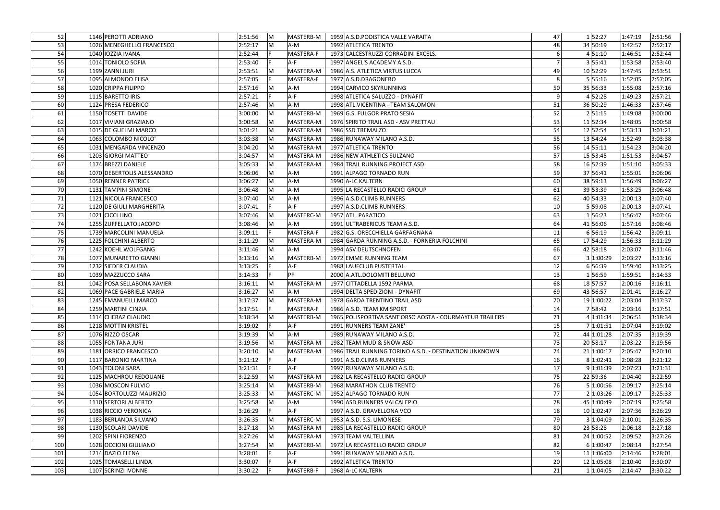| 52 <sub>1</sub> | 1146 PEROTTI ADRIANO       | 2:51:56 | IM. | MASTERB-M | 1959 A.S.D. PODISTICA VALLE VARAITA                     | 47              | 1 52:27    | 1:47:19 | 2:51:56 |
|-----------------|----------------------------|---------|-----|-----------|---------------------------------------------------------|-----------------|------------|---------|---------|
| 53              | 1026 MENEGHELLO FRANCESCO  | 2:52:17 | M   | A-M       | 1992 ATLETICA TRENTO                                    | 48              | 34 50:19   | 1:42:57 | 2:52:17 |
| 54              | 1040 IOZZIA IVANA          | 2:52:44 |     | MASTERA-F | 1973 CALCESTRUZZI CORRADINI EXCELS.                     |                 | 4 51:10    | 1:46:51 | 2:52:44 |
| 55              | 1014 TONIOLO SOFIA         | 2:53:40 |     | A-F       | 1997 ANGEL'S ACADEMY A.S.D.                             |                 | 3 55:41    | 1:53:58 | 2:53:40 |
| 56              | 1199 ZANNI JURI            | 2:53:51 | M   | MASTERA-M | 1986 A.S. ATLETICA VIRTUS LUCCA                         | 49              | 10 52:29   | 1:47:45 | 2:53:51 |
| 57              | 1095 ALMONDO ELISA         | 2:57:05 |     | MASTERA-F | 1977 A.S.D.DRAGONERO                                    | 8               | 5 55:16    | 1:52:05 | 2:57:05 |
| 58              | 1020 CRIPPA FILIPPO        | 2:57:16 | M   | A-M       | 1994 CARVICO SKYRUNNING                                 | 50              | 35 56:33   | 1:55:08 | 2:57:16 |
| 59              | 1115 BARETTO IRIS          | 2:57:21 |     | $A-F$     | 1998 ATLETICA SALUZZO - DYNAFIT                         | q               | 4 52:28    | 1:49:23 | 2:57:21 |
| 60              | 1124 PRESA FEDERICO        | 2:57:46 | M   | A-M       | 1998 ATL. VICENTINA - TEAM SALOMON                      | 51              | 36 50:29   | 1:46:33 | 2:57:46 |
| 61              | 1150 TOSETTI DAVIDE        | 3:00:00 | M   | MASTERB-M | 1969 G.S. FULGOR PRATO SESIA                            | 52              | 2 51:15    | 1:49:08 | 3:00:00 |
| 62              | 1017 VIVIANI GRAZIANO      | 3:00:58 | M   | MASTERA-M | 1976 SPIRITO TRAIL ASD - ASV PRETTAU                    | 53              | 11 52:34   | 1:48:05 | 3:00:58 |
| 63              | 1015 DE GUELMI MARCO       | 3:01:21 | lM. | MASTERA-M | 1986 SSD TREMALZO                                       | 54              | 12 52:54   | 1:53:13 | 3:01:21 |
| 64              | 1063 COLOMBO NICOLO'       | 3:03:38 | M   | MASTERA-M | 1986 RUNAWAY MILANO A.S.D.                              | 55              | 13 54:24   | 1:52:49 | 3:03:38 |
| 65              | 1031 MENGARDA VINCENZO     | 3:04:20 | M   | MASTERA-M | 1977 ATLETICA TRENTO                                    | 56              | 14 55:11   | 1:54:23 | 3:04:20 |
| 66              | 1203 GIORGI MATTEO         | 3:04:57 | lM. | MASTERA-M | 1986 NEW ATHLETICS SULZANO                              | 57              | 15 53:45   | 1:51:53 | 3:04:57 |
| 67              | 1174 BREZZI DANIELE        | 3:05:33 | M   | MASTERA-M | 1984 TRAIL RUNNING PROJECT ASD                          | 58              | 16 52:39   | 1:51:10 | 3:05:33 |
| 68              | 1070 DEBERTOLIS ALESSANDRO | 3:06:06 | M   | A-M       | 1991 ALPAGO TORNADO RUN                                 | 59              | 37 56:41   | 1:55:01 | 3:06:06 |
| 69              | 1050 RENNER PATRICK        | 3:06:27 | M   | A-M       | 1990 A-LC KALTERN                                       | 60              | 38 59:13   | 1:56:49 | 3:06:27 |
| 70              | 1131 TAMPINI SIMONE        | 3:06:48 | M   | A-M       | 1995 LA RECASTELLO RADICI GROUP                         | 61              | 39 53:39   | 1:53:25 | 3:06:48 |
| 71              | 1121 NICOLA FRANCESCO      | 3:07:40 | M   | A-M       | 1996 A.S.D.CLIMB RUNNERS                                | 62              | 40 54:33   | 2:00:13 | 3:07:40 |
| 72              | 1120 DE GIULI MARGHERITA   | 3:07:41 |     | $A-F$     | 1997 A.S.D.CLIMB RUNNERS                                | 10 <sup>1</sup> | 5 59:08    | 2:00:13 | 3:07:41 |
| 73              | 1021 CICCI LINO            | 3:07:46 | M   | MASTERC-M | 1957 ATL. PARATICO                                      | 63              | 156:23     | 1:56:47 | 3:07:46 |
| 74              | 1255 ZUFFELLATO JACOPO     | 3:08:46 | M   | A-M       | 1991 ULTRABERICUS TEAM A.S.D.                           | 64              | 41 56:06   | 1:57:16 | 3:08:46 |
| 75              | 1739 MARCOLINI MANUELA     | 3:09:11 |     | MASTERA-F | 1982 G.S. ORECCHIELLA GARFAGNANA                        | 11              | 6 56:19    | 1:56:42 | 3:09:11 |
| 76              | 1225 FOLCHINI ALBERTO      | 3:11:29 | M   | MASTERA-M | 1984 GARDA RUNNING A.S.D. - FORNERIA FOLCHINI           | 65              | 17 54:29   | 1:56:33 | 3:11:29 |
| 77              | 1242 KOEHL WOLFGANG        | 3:11:46 | M   | A-M       | 1994 ASV DEUTSCHNOFEN                                   | 66              | 42 58:18   | 2:03:07 | 3:11:46 |
| 78              | 1077 MUNARETTO GIANNI      | 3:13:16 | M   | MASTERB-M | 1972 EMME RUNNING TEAM                                  | 67              | 3 1:00:29  | 2:03:27 | 3:13:16 |
| 79              | 1232 SIEDER CLAUDIA        | 3:13:25 |     | A-F       | 1988 LAUFCLUB PUSTERTAL                                 | 12              | 6 56:39    | 1:59:40 | 3:13:25 |
| 80              | 1039 MAZZUCCO SARA         | 3:14:33 |     | PF        | 2000 A.ATL.DOLOMITI BELLUNO                             | 13              | 156:59     | 1:59:51 | 3:14:33 |
| 81              | 1042 POSA SELLABONA XAVIER | 3:16:11 | M   | MASTERA-M | 1977 CITTADELLA 1592 PARMA                              | 68              | 18 57:57   | 2:00:16 | 3:16:11 |
| 82              | 1069 PACE GABRIELE MARIA   | 3:16:27 | M   | A-M       | 1994 DELTA SPEDIZIONI - DYNAFIT                         | 69              | 43 56:57   | 2:01:41 | 3:16:27 |
| 83              | 1245 EMANUELLI MARCO       | 3:17:37 | M   | MASTERA-M | 1978 GARDA TRENTINO TRAIL ASD                           | 70              | 19 1:00:22 | 2:03:04 | 3:17:37 |
| 84              | 1259 MARTINI CINZIA        | 3:17:51 |     | MASTERA-F | 1986 A.S.D. TEAM KM SPORT                               | 14              | 7 58:42    | 2:03:16 | 3:17:51 |
| 85              | 1114 CHERAZ CLAUDIO        | 3:18:34 | M   | MASTERB-M | 1965 POLISPORTIVA SANT'ORSO AOSTA - COURMAYEUR TRAILERS | 71              | 4 1:01:34  | 2:06:51 | 3:18:34 |
| 86              | 1218 MOTTIN KRISTEL        | 3:19:02 |     | $A-F$     | 1991 RUNNERS TEAM ZANE'                                 | 15              | 7 1:01:51  | 2:07:04 | 3:19:02 |
| 87              | 1076 RIZZO OSCAR           | 3:19:39 | M   | A-M       | 1989 RUNAWAY MILANO A.S.D.                              | 72              | 44 1:01:28 | 2:07:35 | 3:19:39 |
| 88              | 1055 FONTANA JURI          | 3:19:56 | M   | MASTERA-M | 1982 TEAM MUD & SNOW ASD                                | 73              | 20 58:17   | 2:03:22 | 3:19:56 |
| 89              | 1181 ORRICO FRANCESCO      | 3:20:10 | M   | MASTERA-M | 1986 TRAIL RUNNING TORINO A.S.D. - DESTINATION UNKNOWN  | 74              | 21 1:00:17 | 2:05:47 | 3:20:10 |
| 90              | 1117 BARONIO MARTINA       | 3:21:12 |     | $A-F$     | 1991 A.S.D.CLIMB RUNNERS                                | 16              | 8 1:02:41  | 2:08:28 | 3:21:12 |
| 91              | 1043 TOLONI SARA           | 3:21:31 |     | $A-F$     | 1997 RUNAWAY MILANO A.S.D.                              | 17              | 9 1:01:39  | 2:07:23 | 3:21:31 |
| 92              | 1125 MACHROU REDOUANE      | 3:22:59 | M   | MASTERA-M | 1982 LA RECASTELLO RADICI GROUP                         | 75              | 22 59:36   | 2:04:40 | 3:22:59 |
| 93              | 1036 MOSCON FULVIO         | 3:25:14 | M   | MASTERB-M | 1968 MARATHON CLUB TRENTO                               | 76              | 5 1:00:56  | 2:09:17 | 3:25:14 |
| 94              | 1054 BORTOLUZZI MAURIZIO   | 3:25:33 | M   | MASTERC-M | 1952 ALPAGO TORNADO RUN                                 | 77              | 2 1:03:26  | 2:09:17 | 3:25:33 |
| 95              | 1110 SERTORI ALBERTO       | 3:25:58 | M   | A-M       | 1990 ASD RUNNERS VALCALEPIO                             | 78              | 45 1:00:49 | 2:07:19 | 3:25:58 |
| 96              | 1038 RICCIO VERONICA       | 3:26:29 |     | $A-F$     | 1997 A.S.D. GRAVELLONA VCO                              | 18              | 10 1:02:47 | 2:07:36 | 3:26:29 |
| 97              | 1183 BERLANDA SILVANO      | 3:26:35 | lM. | MASTERC-M | 1953 A.S.D. S.S. LIMONESE                               | 79              | 3 1:04:09  | 2:10:01 | 3:26:35 |
| 98              | 1130 SCOLARI DAVIDE        | 3:27:18 | lM. | MASTERA-M | 1985 LA RECASTELLO RADICI GROUP                         | 80              | 23 58:28   | 2:06:18 | 3:27:18 |
| 99              | 1202 SPINI FIORENZO        | 3:27:26 | M   | MASTERA-M | 1973 TEAM VALTELLINA                                    | 81              | 24 1:00:52 | 2:09:52 | 3:27:26 |
| 100             | 1628 OCCIONI GIULIANO      | 3:27:54 | M   | MASTERB-M | 1972 LA RECASTELLO RADICI GROUP                         | 82              | 6 1:00:47  | 2:08:14 | 3:27:54 |
| 101             | 1214 DAZIO ELENA           | 3:28:01 |     | $A-F$     | 1991 RUNAWAY MILANO A.S.D.                              | 19              | 11 1:06:00 | 2:14:46 | 3:28:01 |
| 102             | 1025 TOMASELLI LINDA       | 3:30:07 |     | $A-F$     | 1992 ATLETICA TRENTO                                    | 20              | 12 1:05:08 | 2:10:40 | 3:30:07 |
| 103             | 1107 SCRINZI IVONNE        | 3:30:22 |     | MASTERB-F | 1968 A-LC KALTERN                                       | 21              | 1 1:04:05  | 2:14:47 | 3:30:22 |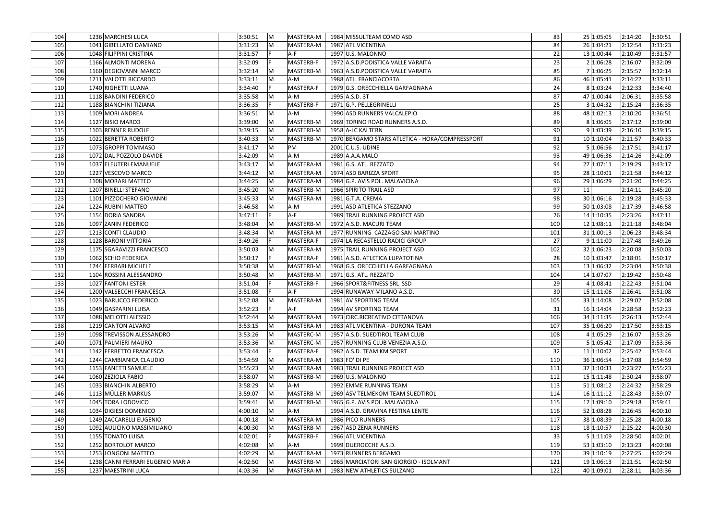| 104 | 1236 MARCHESI LUCA               | 3:30:51 | -IM                 | MASTERA-M | 1984 MISSULTEAM COMO ASD                        | 83              | 25 1:05:05 | 2:14:20 | 3:30:51 |
|-----|----------------------------------|---------|---------------------|-----------|-------------------------------------------------|-----------------|------------|---------|---------|
| 105 | 1041 GIBELLATO DAMIANO           | 3:31:23 | $\mathsf{M}$        | MASTERA-M | 1987 ATL.VICENTINA                              | 84              | 26 1:04:21 | 2:12:54 | 3:31:23 |
| 106 | 1048 FILIPPINI CRISTINA          | 3:31:57 | $A-F$               |           | 1997 U.S. MALONNO                               | 22              | 13 1:00:44 | 2:10:49 | 3:31:57 |
| 107 | 1166 ALMONTI MORENA              | 3:32:09 |                     | MASTERB-F | 1972 A.S.D. PODISTICA VALLE VARAITA             | 23              | 2 1:06:28  | 2:16:07 | 3:32:09 |
| 108 | 1160 DEGIOVANNI MARCO            | 3:32:14 | $\mathsf{M}$        | MASTERB-M | 1963 A.S.D. PODISTICA VALLE VARAITA             | 85              | 7 1:06:25  | 2:15:57 | 3:32:14 |
| 109 | 1211 VALOTTI RICCARDO            | 3:33:11 | $\mathsf{M}$<br>A-M |           | 1988 ATL. FRANCIACORTA                          | 86              | 46 1:05:41 | 2:14:22 | 3:33:11 |
| 110 | 1740 RIGHETTI LUANA              | 3:34:40 |                     | MASTERA-F | 1979 G.S. ORECCHIELLA GARFAGNANA                | 24              | 8 1:03:24  | 2:12:33 | 3:34:40 |
| 111 | 1118 BANDINI FEDERICO            | 3:35:58 | $\mathsf{M}$<br>A-M |           | 1995 A.S.D. 3T                                  | 87              | 47 1:00:44 | 2:06:31 | 3:35:58 |
| 112 | 1188 BIANCHINI TIZIANA           | 3:36:35 |                     | MASTERB-F | 1971 G.P. PELLEGRINELLI                         | 25              | 3 1:04:32  | 2:15:24 | 3:36:35 |
| 113 | 1109 MORI ANDREA                 | 3:36:51 | $\mathsf{M}$<br>A-M |           | 1990 ASD RUNNERS VALCALEPIO                     | 88              | 48 1:02:13 | 2:10:20 | 3:36:51 |
| 114 | 1127 BISIO MARCO                 | 3:39:00 | $\mathsf{M}$        | MASTERB-M | 1969 TORINO ROAD RUNNERS A.S.D.                 | 89              | 8 1:06:05  | 2:17:12 | 3:39:00 |
| 115 | 1103 RENNER RUDOLF               | 3:39:15 | IM.                 | MASTERB-M | 1958 A-LC KALTERN                               | 90              | 9 1:03:39  | 2:16:10 | 3:39:15 |
| 116 | 1022 BERETTA ROBERTO             | 3:40:33 | IM.                 | MASTERB-M | 1970 BERGAMO STARS ATLETICA - HOKA/COMPRESSPORT | 91              | 10 1:10:04 | 2:21:57 | 3:40:33 |
| 117 | 1073 GROPPI TOMMASO              | 3:41:17 | M<br>PM             |           | 2001 C.U.S. UDINE                               | 92              | 5 1:06:56  | 2:17:51 | 3:41:17 |
| 118 | 1072 DAL POZZOLO DAVIDE          | 3:42:09 | A-M<br>lM.          |           | 1989 A.A.A.MALO                                 | 93              | 49 1:06:36 | 2:14:26 | 3:42:09 |
| 119 | 1037 ELEUTERI EMANUELE           | 3:43:17 | IM.                 | MASTERA-M | 1981 G.S. ATL. REZZATO                          | 94              | 27 1:07:11 | 2:19:29 | 3:43:17 |
| 120 | 1227 VESCOVO MARCO               | 3:44:12 | $\mathsf{M}$        | MASTERA-M | 1974 ASD BARIZZA SPORT                          | 95              | 28 1:10:01 | 2:21:58 | 3:44:12 |
| 121 | 1108 MORARI MATTEO               | 3:44:25 | M                   | MASTERA-M | 1984 G.P. AVIS POL. MALAVICINA                  | 96              | 29 1:06:29 | 2:21:20 | 3:44:25 |
| 122 | 1207 BINELLI STEFANO             | 3:45:20 | IM.                 | MASTERB-M | 1966 SPIRITO TRAIL ASD                          | 97              | 11         | 2:14:11 | 3:45:20 |
| 123 | 1101 PIZZOCHERO GIOVANNI         | 3:45:33 | IM.                 | MASTERA-M | 1981 G.T.A. CREMA                               | 98              | 30 1:06:16 | 2:19:28 | 3:45:33 |
| 124 | 1224 RUBINI MATTEO               | 3:46:58 | IM.<br>A-M          |           | 1991 ASD ATLETICA STEZZANO                      | 99              | 50 1:03:08 | 2:17:39 | 3:46:58 |
| 125 | 1154 DORIA SANDRA                | 3:47:11 | A-F                 |           | 1989 TRAIL RUNNING PROJECT ASD                  | 26              | 14 1:10:35 | 2:23:26 | 3:47:11 |
| 126 | 1097 ZANIN FEDERICO              | 3:48:04 | M                   | MASTERB-M | 1972 A.S.D. MACURI TEAM                         | 100             | 12 1:08:11 | 2:21:18 | 3:48:04 |
| 127 | 1213 CONTI CLAUDIO               | 3:48:34 | M                   | MASTERA-M | 1977 RUNNING CAZZAGO SAN MARTINO                | 101             | 31 1:00:13 | 2:06:23 | 3:48:34 |
| 128 | 1128 BARONI VITTORIA             | 3:49:26 |                     | MASTERA-F | 1974 LA RECASTELLO RADICI GROUP                 | 27              | 9 1:11:00  | 2:27:48 | 3:49:26 |
| 129 | 1175 SGARAVIZZI FRANCESCO        | 3:50:03 | $\mathsf{M}$        | MASTERA-M | 1975 TRAIL RUNNING PROJECT ASD                  | 102             | 32 1:06:23 | 2:20:08 | 3:50:03 |
| 130 | 1062 SCHIO FEDERICA              | 3:50:17 |                     | MASTERA-F | 1981 A.S.D. ATLETICA LUPATOTINA                 | <b>28</b>       | 10 1:03:47 | 2:18:01 | 3:50:17 |
| 131 | 1744 FERRARI MICHELE             | 3:50:38 | IM.                 | MASTERB-M | 1968 G.S. ORECCHIELLA GARFAGNANA                | 103             | 13 1:06:32 | 2:23:04 | 3:50:38 |
| 132 | 1104 ROSSINI ALESSANDRO          | 3:50:48 | M                   | MASTERB-M | $1971$ G.S. ATL. REZZATO                        | 104             | 14 1:07:07 | 2:19:42 | 3:50:48 |
| 133 | 1027 FANTONI ESTER               | 3:51:04 |                     | MASTERB-F | 1966 SPORT&FITNESS SRL SSD                      | <u>29</u>       | 4 1:08:41  | 2:22:43 | 3:51:04 |
| 134 | 1200 VALSECCHI FRANCESCA         | 3:51:08 | A-F                 |           | 1994 RUNAWAY MILANO A.S.D.                      | 30 <sup>1</sup> | 15 1:11:06 | 2:26:41 | 3:51:08 |
| 135 | 1023 BARUCCO FEDERICO            | 3:52:08 | IM.                 | MASTERA-M | 1981 AV SPORTING TEAM                           | 105             | 33 1:14:08 | 2:29:02 | 3:52:08 |
| 136 | 1049 GASPARINI LUISA             | 3:52:23 | $A-F$               |           | 1994 AV SPORTING TEAM                           | 31              | 16 1:14:04 | 2:28:58 | 3:52:23 |
| 137 | 1088 MELOTTI ALESSIO             | 3:52:44 | M                   | MASTERA-M | 1973 CIRC.RICREATIVO CITTANOVA                  | 106             | 34 1:11:35 | 2:26:13 | 3:52:44 |
| 138 | 1219 CANTON ALVARO               | 3:53:15 | $\mathsf{M}$        | MASTERA-M | 1983 ATL.VICENTINA - DURONA TEAM                | 107             | 35 1:06:20 | 2:17:50 | 3:53:15 |
| 139 | 1098 TREVISSON ALESSANDRO        | 3:53:26 | lM.                 | MASTERC-M | 1957 A.S.D. SUEDTIROL TEAM CLUB                 | 108             | 4 1:05:29  | 2:16:07 | 3:53:26 |
| 140 | 1071 PALMIERI MAURO              | 3:53:36 | M                   | MASTERC-M | 1957 RUNNING CLUB VENEZIA A.S.D.                | 109             | 5 1:05:42  | 2:17:09 | 3:53:36 |
| 141 | 1142 FERRETTO FRANCESCA          | 3:53:44 | IF.                 | MASTERA-F | 1982 A.S.D. TEAM KM SPORT                       | 32              | 11 1:10:02 | 2:25:42 | 3:53:44 |
| 142 | 1244 CAMBIANICA CLAUDIO          | 3:54:59 | M                   | MASTERA-M | 1983 FO' DI PE                                  | 110             | 36 1:06:54 | 2:17:08 | 3:54:59 |
| 143 | 1153 FANETTI SAMUELE             | 3:55:23 | M                   | MASTERA-M | 1983 TRAIL RUNNING PROJECT ASD                  | 111             | 37 1:10:33 | 2:23:27 | 3:55:23 |
| 144 | 1060 ZEZIOLA FABIO               | 3:58:07 | $\mathsf{M}$        | MASTERB-M | 1969 U.S. MALONNO                               | 112             | 15 1:11:48 | 2:30:24 | 3:58:07 |
| 145 | 1033 BIANCHIN ALBERTO            | 3:58:29 | M<br>A-M            |           | 1992 EMME RUNNING TEAM                          | 113             | 51 1:08:12 | 2:24:32 | 3:58:29 |
| 146 | 1113 MÜLLER MARKUS               | 3:59:07 | M                   | MASTERB-M | 1969 ASV TELMEKOM TEAM SUEDTIROL                | 114             | 16 1:11:12 | 2:28:43 | 3:59:07 |
| 147 | 1045 TORA LODOVICO               | 3:59:41 | IM.                 | MASTERB-M | 1965 G.P. AVIS POL. MALAVICINA                  | 115             | 17 1:09:10 | 2:29:18 | 3:59:41 |
| 148 | 1034 DIGIESI DOMENICO            | 4:00:10 | M<br>A-M            |           | 1994 A.S.D. GRAVINA FESTINA LENTE               | 116             | 52 1:08:28 | 2:26:45 | 4:00:10 |
| 149 | 1249 ZACCARELLI EUGENIO          | 4:00:18 | M                   | MASTERA-M | 1986 PICO RUNNERS                               | 117             | 38 1:08:39 | 2:25:28 | 4:00:18 |
| 150 | 1092 AULICINO MASSIMILIANO       | 4:00:30 | IM.                 | MASTERB-M | 1967 ASD ZENA RUNNERS                           | 118             | 18 1:10:57 | 2:25:22 | 4:00:30 |
| 151 | 1155 TONATO LUISA                | 4:02:01 |                     | MASTERB-F | 1966 ATL.VICENTINA                              | 33              | 5 1:11:09  | 2:28:50 | 4:02:01 |
| 152 | 1252 BORTOLOT MARCO              | 4:02:08 | M<br>A-M            |           | 1999 DUEROCCHE A.S.D.                           | 119             | 53 1:03:10 | 2:13:23 | 4:02:08 |
| 153 | 1253 LONGONI MATTEO              | 4:02:29 | lM.                 | MASTERA-M | 1973 RUNNERS BERGAMO                            | 120             | 39 1:10:19 | 2:27:25 | 4:02:29 |
| 154 | 1238 CANNI FERRARI EUGENIO MARIA | 4:02:50 | M                   | MASTERB-M | 1965 MARCIATORI SAN GIORGIO - ISOLMANT          | 121             | 19 1:06:13 | 2:21:51 | 4:02:50 |
| 155 | 1237 MAESTRINI LUCA              | 4:03:36 | M                   | MASTERA-M | 1983 NEW ATHLETICS SULZANO                      | 122             | 40 1:09:01 | 2:28:11 | 4:03:36 |
|     |                                  |         |                     |           |                                                 |                 |            |         |         |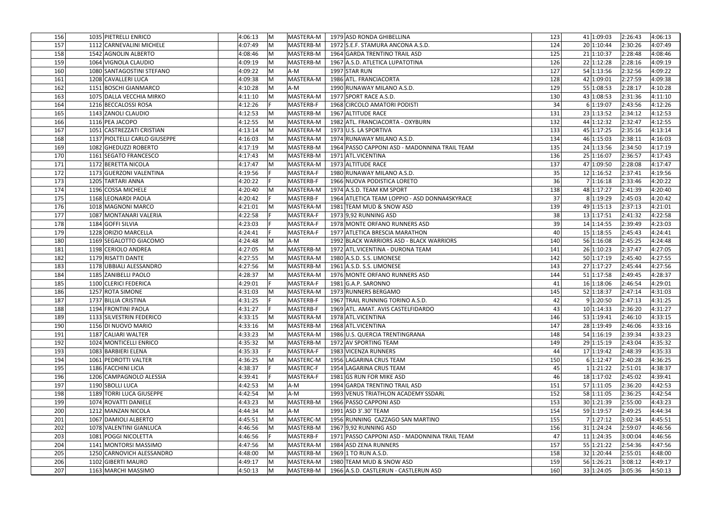| 156 | 1035 PIETRELLI ENRICO         | 4:06:13<br>IM.          | MASTERA-M | 1979 ASD RONDA GHIBELLINA                     | 123 | 4:06:13<br>41 1:09:03<br> 2:26:43 |
|-----|-------------------------------|-------------------------|-----------|-----------------------------------------------|-----|-----------------------------------|
| 157 | 1112 CARNEVALINI MICHELE      | 4:07:49<br>IM.          | MASTERB-M | 1972 S.E.F. STAMURA ANCONA A.S.D.             | 124 | 2:30:26<br>20 1:10:44<br>4:07:49  |
| 158 | 1542 AGNOLIN ALBERTO          | 4:08:46<br>lM.          | MASTERB-M | 1964 GARDA TRENTINO TRAIL ASD                 | 125 | 21 1:10:37<br>2:28:48<br>4:08:46  |
| 159 | 1064 VIGNOLA CLAUDIO          | 4:09:19<br>IM.          | MASTERB-M | 1967 A.S.D. ATLETICA LUPATOTINA               | 126 | 22 1:12:28<br>2:28:16<br>4:09:19  |
| 160 | 1080 SANTAGOSTINI STEFANO     | 4:09:22<br>$\mathsf{M}$ | A-M       | 1997 STAR RUN                                 | 127 | 2:32:56<br>54 1:13:56<br>4:09:22  |
| 161 | 1208 CAVALLERI LUCA           | 4:09:38<br>IM.          | MASTERA-M | 1986 ATL. FRANCIACORTA                        | 128 | 42 1:09:01<br>2:27:59<br>4:09:38  |
| 162 | 1151 BOSCHI GIANMARCO         | 4:10:28<br>IM.          | A-M       | 1990 RUNAWAY MILANO A.S.D.                    | 129 | 55 1:08:53<br>2:28:17<br>4:10:28  |
| 163 | 1075 DALLA VECCHIA MIRKO      | 4:11:10<br>IM.          | MASTERA-M | 1977 SPORT RACE A.S.D.                        | 130 | 43 1:08:53<br>2:31:36<br>4:11:10  |
| 164 | 1216 BECCALOSSI ROSA          | 4:12:26                 | MASTERB-F | 1968 CIRCOLO AMATORI PODISTI                  | 34  | 6 1:19:07<br>2:43:56<br>4:12:26   |
| 165 | 1143 ZANOLI CLAUDIO           | 4:12:53<br>IM.          | MASTERB-M | 1967 ALTITUDE RACE                            | 131 | 23 1:13:52<br>2:34:12<br>4:12:53  |
| 166 | 1116 PEA JACOPO               | 4:12:55<br>IM.          | MASTERA-M | 1982 ATL. FRANCIACORTA - OXYBURN              | 132 | 44 1:12:32<br>2:32:47<br>4:12:55  |
| 167 | 1051 CASTREZZATI CRISTIAN     | 4:13:14<br>IM.          | MASTERA-M | 1973 U.S. LA SPORTIVA                         | 133 | 45 1:17:25<br>2:35:16<br>4:13:14  |
| 168 | 1137 PIOLTELLI CARLO GIUSEPPE | 4:16:03<br>IM.          | MASTERA-M | 1974 RUNAWAY MILANO A.S.D.                    | 134 | 46 1:15:03<br>2:38:11<br>4:16:03  |
| 169 | 1082 GHEDUZZI ROBERTO         | 4:17:19<br>IM.          | MASTERB-M | 1964 PASSO CAPPONI ASD - MADONNINA TRAIL TEAM | 135 | 24 1:13:56<br>4:17:19<br>2:34:50  |
| 170 | 1161 SEGATO FRANCESCO         | 4:17:43<br>IM.          | MASTERB-M | 1971 ATL.VICENTINA                            | 136 | 2:36:57<br>4:17:43<br>25 1:16:07  |
| 171 | 1172 BERETTA NICOLA           | 4:17:47<br>IM.          | MASTERA-M | 1973 ALTITUDE RACE                            | 137 | 47 1:09:50<br>2:28:08<br>4:17:47  |
| 172 | 1173 GUERZONI VALENTINA       | 4:19:56                 | MASTERA-F | 1980 RUNAWAY MILANO A.S.D.                    | 35  | 12 1:16:52<br>4:19:56<br>2:37:41  |
| 173 | 1205 TARTARI ANNA             | 4:20:22<br>IF           | MASTERB-F | 1966 NUOVA PODISTICA LORETO                   | 36  | 7 1:16:18<br>2:33:46<br>4:20:22   |
| 174 | 1196 COSSA MICHELE            | 4:20:40<br>IM.          | MASTERA-M | 1974 A.S.D. TEAM KM SPORT                     | 138 | 48 1:17:27<br>4:20:40<br>2:41:39  |
| 175 | 1168 LEONARDI PAOLA           | 4:20:42                 | MASTERB-F | 1964 ATLETICA TEAM LOPPIO - ASD DONNA4SKYRACE | 37  | 8 1:19:29<br>2:45:03<br>4:20:42   |
| 176 | 1018 MAGNONI MARCO            | 4:21:01<br>IM.          | MASTERA-M | 1981 TEAM MUD & SNOW ASD                      | 139 | 49 1:15:13<br>2:37:13<br>4:21:01  |
| 177 | 1087 MONTANARI VALERIA        | 4:22:58                 | MASTERA-F | 1973 9,92 RUNNING ASD                         | 38  | 13 1:17:51<br>2:41:32<br>4:22:58  |
| 178 | 1184 GOFFI SILVIA             | 4:23:03                 | MASTERA-F | 1978 MONTE ORFANO RUNNERS ASD                 | 39  | 14 1:14:55<br>2:39:49<br>4:23:03  |
| 179 | 1228 ORIZIO MARCELLA          | 4:24:41                 | MASTERA-F | 1977 ATLETICA BRESCIA MARATHON                | 40  | 15 1:18:55<br>2:45:43<br>4:24:41  |
| 180 | 1169 SEGALOTTO GIACOMO        | 4:24:48<br>M            | A-M       | 1992 BLACK WARRIORS ASD - BLACK WARRIORS      | 140 | 56 1:16:08<br>2:45:25<br>4:24:48  |
| 181 | 1198 CERIOLO ANDREA           | 4:27:05<br> M           | MASTERB-M | 1972 ATL.VICENTINA - DURONA TEAM              | 141 | 26 1:10:23<br>2:37:47<br>4:27:05  |
| 182 | 1179 RISATTI DANTE            | 4:27:55<br>lM.          | MASTERA-M | 1980 A.S.D. S.S. LIMONESE                     | 142 | 50 1:17:19<br>2:45:40<br>4:27:55  |
| 183 | 1178 UBBIALI ALESSANDRO       | 4:27:56<br>IM.          | MASTERB-M | 1961 A.S.D. S.S. LIMONESE                     | 143 | 27 1:17:27<br>2:45:44<br>4:27:56  |
| 184 | 1185 ZANIBELLI PAOLO          | 4:28:37<br>IM.          | MASTERA-M | 1976 MONTE ORFANO RUNNERS ASD                 | 144 | 51 1:17:58<br>2:49:45<br>4:28:37  |
| 185 | 1100 CLERICI FEDERICA         | 4:29:01                 | MASTERA-F | 1981 G.A.P. SARONNO                           | 41  | 16 1:18:06<br>2:46:54<br>4:29:01  |
| 186 | 1257 ROTA SIMONE              | 4:31:03<br>$\mathsf{M}$ | MASTERA-M | 1973 RUNNERS BERGAMO                          | 145 | 52 1:18:37<br>2:47:14<br>4:31:03  |
| 187 | 1737 BILLIA CRISTINA          | 4:31:25                 | MASTERB-F | 1967 TRAIL RUNNING TORINO A.S.D.              | 42  | 9 1:20:50<br> 2:47:13<br>4:31:25  |
| 188 | 1194 FRONTINI PAOLA           | 4:31:27<br>IF           | MASTERB-F | 1969 ATL. AMAT. AVIS CASTELFIDARDO            | 43  | 10 1:14:33<br>2:36:20<br>4:31:27  |
| 189 | 1133 SILVESTRIN FEDERICO      | 4:33:15<br>$\mathsf{M}$ | MASTERA-M | 1978 ATL.VICENTINA                            | 146 | 53 1:19:41<br>2:46:10<br>4:33:15  |
| 190 | 1156 DI NUOVO MARIO           | 4:33:16<br>IM.          | MASTERB-M | 1968 ATL.VICENTINA                            | 147 | 28 1:19:49<br>4:33:16<br>2:46:06  |
| 191 | 1187 CALIARI WALTER           | 4:33:23<br>lM.          | MASTERA-M | 1986 U.S. QUERCIA TRENTINGRANA                | 148 | 54 1:16:19<br>2:39:34<br>4:33:23  |
| 192 | 1024 MONTICELLI ENRICO        | 4:35:32<br>M            | MASTERB-M | 1972 AV SPORTING TEAM                         | 149 | 29 1:15:19<br>2:43:04<br>4:35:32  |
| 193 | 1083 BARBIERI ELENA           | 4:35:33                 | MASTERA-F | 1983 VICENZA RUNNERS                          | 44  | 4:35:33<br>17 1:19:42<br>2:48:39  |
| 194 | 1061 PEDROTTI VALTER          | 4:36:25<br>lM.          | MASTERC-M | 1956 LAGARINA CRUS TEAM                       | 150 | 6 1:12:47<br>2:40:28<br>4:36:25   |
| 195 | 1186 FACCHINI LICIA           | 4:38:37<br>IF.          | MASTERC-F | 1954 LAGARINA CRUS TEAM                       | 45  | 1 1:21:22<br>2:51:01<br>4:38:37   |
| 196 | 1206 CAMPAGNOLO ALESSIA       | 4:39:41                 | MASTERA-F | 1981 GS RUN FOR MIKE ASD                      | 46  | 18 1:17:02<br>2:45:02<br>4:39:41  |
| 197 | 1190 SBOLLI LUCA              | 4:42:53<br>M            | A-M       | 1994 GARDA TRENTINO TRAIL ASD                 | 151 | 57 1:11:05<br>2:36:20<br>4:42:53  |
| 198 | 1189 TORRI LUCA GIUSEPPE      | 4:42:54<br>M            | A-M       | 1993 VENUS TRIATHLON ACADEMY SSDARL           | 152 | 2:36:25<br>4:42:54<br>58 1:11:05  |
| 199 | 1074 ROVATTI DANIELE          | 4:43:23<br>lM.          | MASTERB-M | 1966 PASSO CAPPONI ASD                        | 153 | 30 1:21:39<br>2:55:00<br>4:43:23  |
| 200 | 1212 MANZAN NICOLA            | 4:44:34<br>M            | A-M       | 1991 ASD 3'.30' TEAM                          | 154 | 59 1:19:57<br>2:49:25<br>4:44:34  |
| 201 | 1067 DAMIOLI ALBERTO          | 4:45:51<br>$\mathsf{M}$ | MASTERC-M | 1956 RUNNING CAZZAGO SAN MARTINO              | 155 | 7 1:27:12<br>3:02:34<br>4:45:51   |
| 202 | 1078 VALENTINI GIANLUCA       | 4:46:56<br>ΙM           | MASTERB-M | 1967 9,92 RUNNING ASD                         | 156 | 31 1:24:24<br>2:59:07<br>4:46:56  |
| 203 | 1081 POGGI NICOLETTA          | 4:46:56                 | MASTERB-F | 1971 PASSO CAPPONI ASD - MADONNINA TRAIL TEAM | 47  | 11 1:24:35<br>3:00:04<br>4:46:56  |
| 204 | 1141 MONTORSI MASSIMO         | 4:47:56<br>IM.          | MASTERA-M | 1984 ASD ZENA RUNNERS                         | 157 | 55 1:21:22<br>2:54:36<br>4:47:56  |
| 205 | 1250 CARNOVICH ALESSANDRO     | 4:48:00<br>lM.          | MASTERB-M | 1969 1 TO RUN A.S.D.                          | 158 | 4:48:00<br>32 1:20:44<br>2:55:01  |
| 206 | 1102 GIBERTI MAURO            | 4:49:17<br>M            | MASTERA-M | 1980 TEAM MUD & SNOW ASD                      | 159 | 56 1:26:21<br>4:49:17<br>3:08:12  |
| 207 | 1163 MARCHI MASSIMO           | 4:50:13<br>M            | MASTERB-M | 1966 A.S.D. CASTLERUN - CASTLERUN ASD         | 160 | 33 1:24:05<br>3:05:36<br>4:50:13  |
|     |                               |                         |           |                                               |     |                                   |